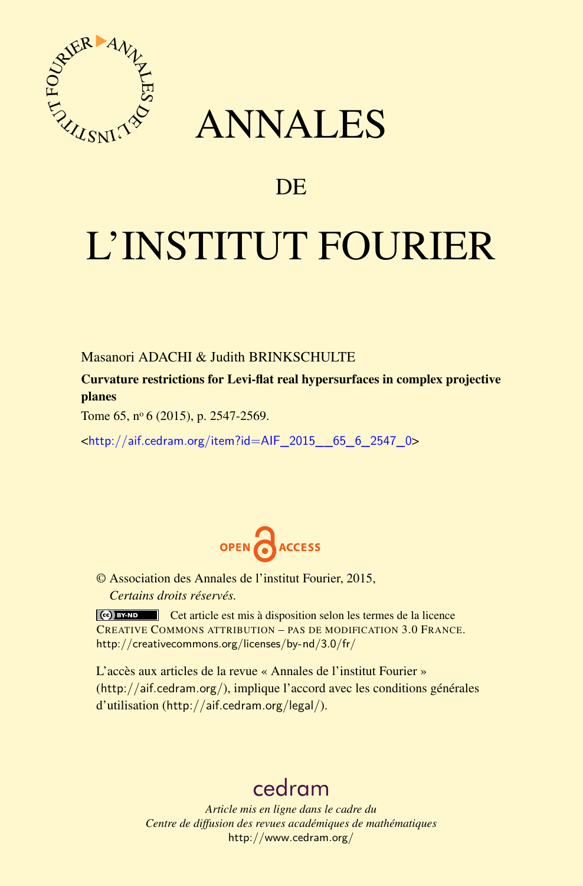

# ANNALES

## **DE**

# L'INSTITUT FOURIER

### Masanori ADACHI & Judith BRINKSCHULTE

Curvature restrictions for Levi-flat real hypersurfaces in complex projective planes

Tome 65,  $n^{\circ}$  6 (2015), p. 2547-2569.

<[http://aif.cedram.org/item?id=AIF\\_2015\\_\\_65\\_6\\_2547\\_0](http://aif.cedram.org/item?id=AIF_2015__65_6_2547_0)>



© Association des Annales de l'institut Fourier, 2015, *Certains droits réservés.*

Cet article est mis à disposition selon les termes de la licence CREATIVE COMMONS ATTRIBUTION – PAS DE MODIFICATION 3.0 FRANCE. <http://creativecommons.org/licenses/by-nd/3.0/fr/>

L'accès aux articles de la revue « Annales de l'institut Fourier » (<http://aif.cedram.org/>), implique l'accord avec les conditions générales d'utilisation (<http://aif.cedram.org/legal/>).

# [cedram](http://www.cedram.org/)

*Article mis en ligne dans le cadre du Centre de diffusion des revues académiques de mathématiques* <http://www.cedram.org/>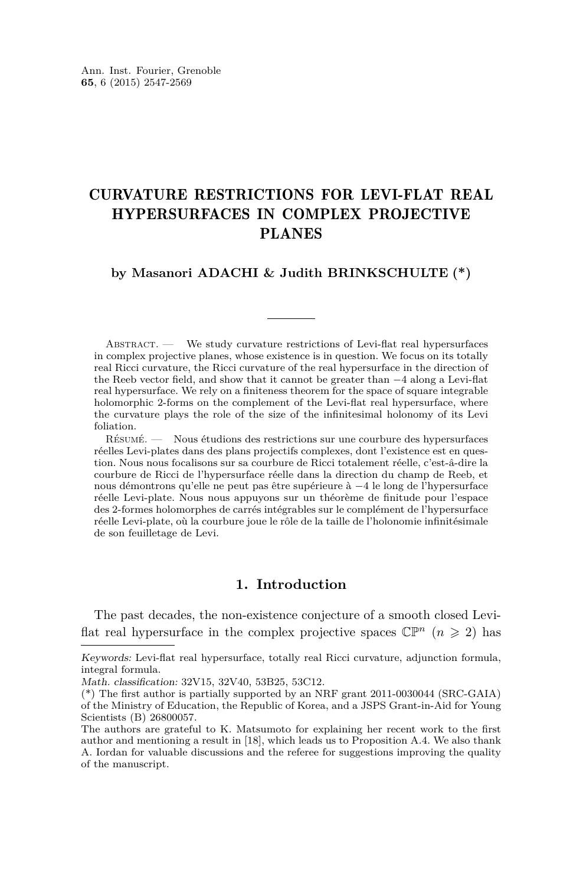## CURVATURE RESTRICTIONS FOR LEVI-FLAT REAL HYPERSURFACES IN COMPLEX PROJECTIVE PLANES

#### **by Masanori ADACHI & Judith BRINKSCHULTE (\*)**

Abstract. — We study curvature restrictions of Levi-flat real hypersurfaces in complex projective planes, whose existence is in question. We focus on its totally real Ricci curvature, the Ricci curvature of the real hypersurface in the direction of the Reeb vector field, and show that it cannot be greater than −4 along a Levi-flat real hypersurface. We rely on a finiteness theorem for the space of square integrable holomorphic 2-forms on the complement of the Levi-flat real hypersurface, where the curvature plays the role of the size of the infinitesimal holonomy of its Levi foliation.

Résumé. — Nous étudions des restrictions sur une courbure des hypersurfaces réelles Levi-plates dans des plans projectifs complexes, dont l'existence est en question. Nous nous focalisons sur sa courbure de Ricci totalement réelle, c'est-â-dire la courbure de Ricci de l'hypersurface réelle dans la direction du champ de Reeb, et nous démontrons qu'elle ne peut pas être supérieure à −4 le long de l'hypersurface réelle Levi-plate. Nous nous appuyons sur un théorème de finitude pour l'espace des 2-formes holomorphes de carrés intégrables sur le complément de l'hypersurface réelle Levi-plate, où la courbure joue le rôle de la taille de l'holonomie infinitésimale de son feuilletage de Levi.

#### **1. Introduction**

The past decades, the non-existence conjecture of a smooth closed Leviflat real hypersurface in the complex projective spaces  $\mathbb{CP}^n$  ( $n \geq 2$ ) has

Keywords: Levi-flat real hypersurface, totally real Ricci curvature, adjunction formula, integral formula.

Math. classification: 32V15, 32V40, 53B25, 53C12.

<sup>(\*)</sup> The first author is partially supported by an NRF grant 2011-0030044 (SRC-GAIA) of the Ministry of Education, the Republic of Korea, and a JSPS Grant-in-Aid for Young Scientists (B) 26800057.

The authors are grateful to K. Matsumoto for explaining her recent work to the first author and mentioning a result in [\[18\]](#page-23-0), which leads us to Proposition [A.4.](#page-20-0) We also thank A. Iordan for valuable discussions and the referee for suggestions improving the quality of the manuscript.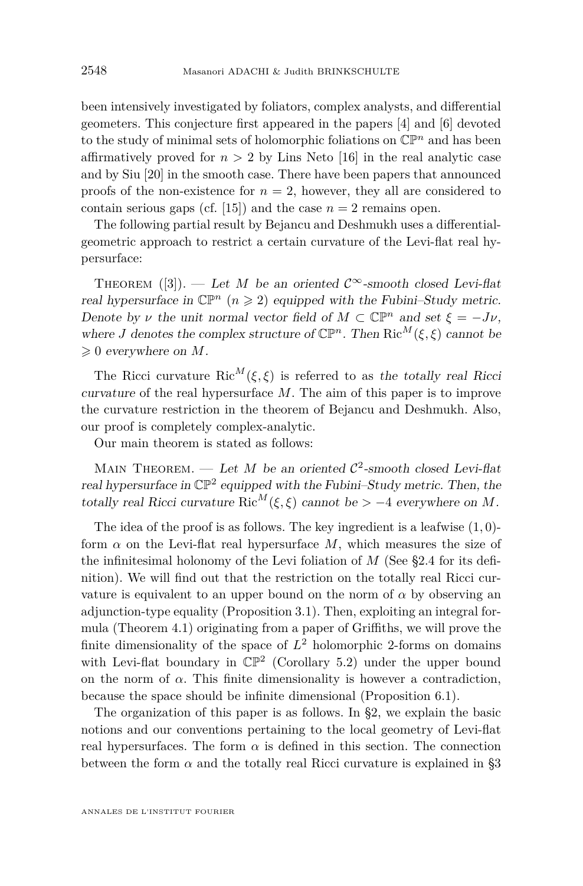been intensively investigated by foliators, complex analysts, and differential geometers. This conjecture first appeared in the papers [\[4\]](#page-22-0) and [\[6\]](#page-22-0) devoted to the study of minimal sets of holomorphic foliations on  $\mathbb{CP}^n$  and has been affirmatively proved for  $n > 2$  by Lins Neto [\[16\]](#page-23-0) in the real analytic case and by Siu [\[20\]](#page-23-0) in the smooth case. There have been papers that announced proofs of the non-existence for  $n = 2$ , however, they all are considered to contain serious gaps (cf. [\[15\]](#page-23-0)) and the case  $n = 2$  remains open.

The following partial result by Bejancu and Deshmukh uses a differentialgeometric approach to restrict a certain curvature of the Levi-flat real hypersurface:

THEOREM ([\[3\]](#page-22-0)). — Let *M* be an oriented  $\mathcal{C}^{\infty}$ -smooth closed Levi-flat real hypersurface in  $\mathbb{CP}^n$   $(n \geq 2)$  equipped with the Fubini–Study metric. Denote by *ν* the unit normal vector field of  $M \subset \mathbb{CP}^n$  and set  $\xi = -J\nu$ , where *J* denotes the complex structure of  $\mathbb{CP}^n$ . Then Ric<sup>M</sup>( $\xi, \xi$ ) cannot be  $\geq 0$  everywhere on M.

The Ricci curvature  $\text{Ric}^{M}(\xi,\xi)$  is referred to as the totally real Ricci curvature of the real hypersurface *M*. The aim of this paper is to improve the curvature restriction in the theorem of Bejancu and Deshmukh. Also, our proof is completely complex-analytic.

Our main theorem is stated as follows:

MAIN THEOREM. — Let  $M$  be an oriented  $C^2$ -smooth closed Levi-flat real hypersurface in  $\mathbb{CP}^2$  equipped with the Fubini–Study metric. Then, the totally real Ricci curvature Ric<sup>M</sup>( $\xi, \xi$ ) cannot be  $> -4$  everywhere on M.

The idea of the proof is as follows. The key ingredient is a leafwise (1*,* 0) form  $\alpha$  on the Levi-flat real hypersurface  $M$ , which measures the size of the infinitesimal holonomy of the Levi foliation of *M* (See [§2.4](#page-6-0) for its definition). We will find out that the restriction on the totally real Ricci curvature is equivalent to an upper bound on the norm of  $\alpha$  by observing an adjunction-type equality (Proposition [3.1\)](#page-8-0). Then, exploiting an integral formula (Theorem [4.1\)](#page-11-0) originating from a paper of Griffiths, we will prove the finite dimensionality of the space of  $L^2$  holomorphic 2-forms on domains with Levi-flat boundary in  $\mathbb{CP}^2$  (Corollary [5.2\)](#page-16-0) under the upper bound on the norm of  $\alpha$ . This finite dimensionality is however a contradiction, because the space should be infinite dimensional (Proposition [6.1\)](#page-17-0).

The organization of this paper is as follows. In [§2,](#page-3-0) we explain the basic notions and our conventions pertaining to the local geometry of Levi-flat real hypersurfaces. The form  $\alpha$  is defined in this section. The connection between the form  $\alpha$  and the totally real Ricci curvature is explained in [§3](#page-8-0)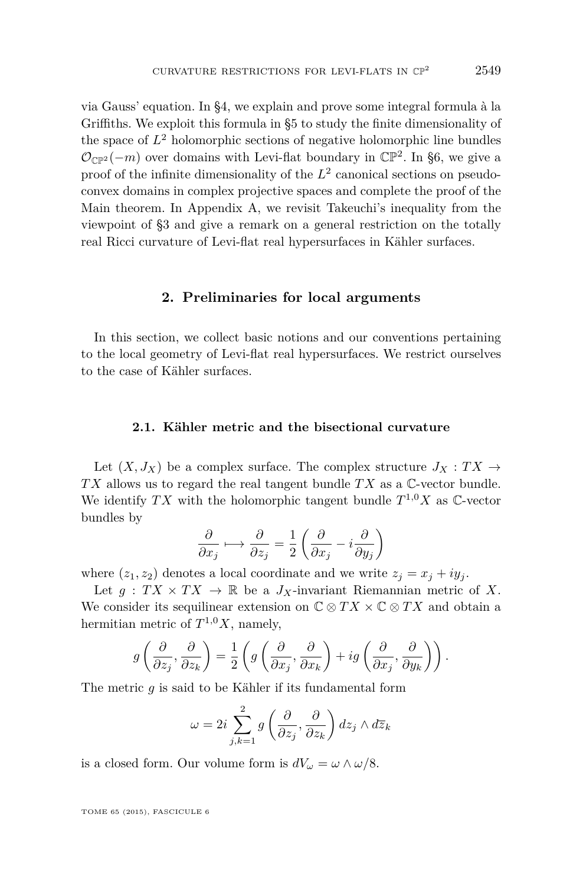<span id="page-3-0"></span>via Gauss' equation. In [§4,](#page-11-0) we explain and prove some integral formula à la Griffiths. We exploit this formula in [§5](#page-14-0) to study the finite dimensionality of the space of  $L^2$  holomorphic sections of negative holomorphic line bundles  $\mathcal{O}_{\mathbb{CP}^2}(-m)$  over domains with Levi-flat boundary in  $\mathbb{CP}^2$ . In [§6,](#page-16-0) we give a proof of the infinite dimensionality of the  $L^2$  canonical sections on pseudoconvex domains in complex projective spaces and complete the proof of the Main theorem. In Appendix [A,](#page-18-0) we revisit Takeuchi's inequality from the viewpoint of [§3](#page-8-0) and give a remark on a general restriction on the totally real Ricci curvature of Levi-flat real hypersurfaces in Kähler surfaces.

#### **2. Preliminaries for local arguments**

In this section, we collect basic notions and our conventions pertaining to the local geometry of Levi-flat real hypersurfaces. We restrict ourselves to the case of Kähler surfaces.

#### **2.1. Kähler metric and the bisectional curvature**

Let  $(X, J_X)$  be a complex surface. The complex structure  $J_X: TX \to$ *T X* allows us to regard the real tangent bundle *T X* as a C-vector bundle. We identify  $TX$  with the holomorphic tangent bundle  $T^{1,0}X$  as  $\mathbb{C}\text{-vector}$ bundles by

$$
\frac{\partial}{\partial x_j}\longmapsto \frac{\partial}{\partial z_j}=\frac{1}{2}\left(\frac{\partial}{\partial x_j}-i\frac{\partial}{\partial y_j}\right)
$$

where  $(z_1, z_2)$  denotes a local coordinate and we write  $z_j = x_j + iy_j$ .

Let  $g: TX \times TX \to \mathbb{R}$  be a  $J_X$ -invariant Riemannian metric of X. We consider its sequilinear extension on  $\mathbb{C} \otimes TX \times \mathbb{C} \otimes TX$  and obtain a hermitian metric of  $T^{1,0}X$ , namely,

$$
g\left(\frac{\partial}{\partial z_j},\frac{\partial}{\partial z_k}\right) = \frac{1}{2}\left(g\left(\frac{\partial}{\partial x_j},\frac{\partial}{\partial x_k}\right) + ig\left(\frac{\partial}{\partial x_j},\frac{\partial}{\partial y_k}\right)\right).
$$

The metric *g* is said to be Kähler if its fundamental form

$$
\omega = 2i \sum_{j,k=1}^{2} g\left(\frac{\partial}{\partial z_j}, \frac{\partial}{\partial z_k}\right) dz_j \wedge d\overline{z}_k
$$

is a closed form. Our volume form is  $dV_\omega = \omega \wedge \omega/8$ .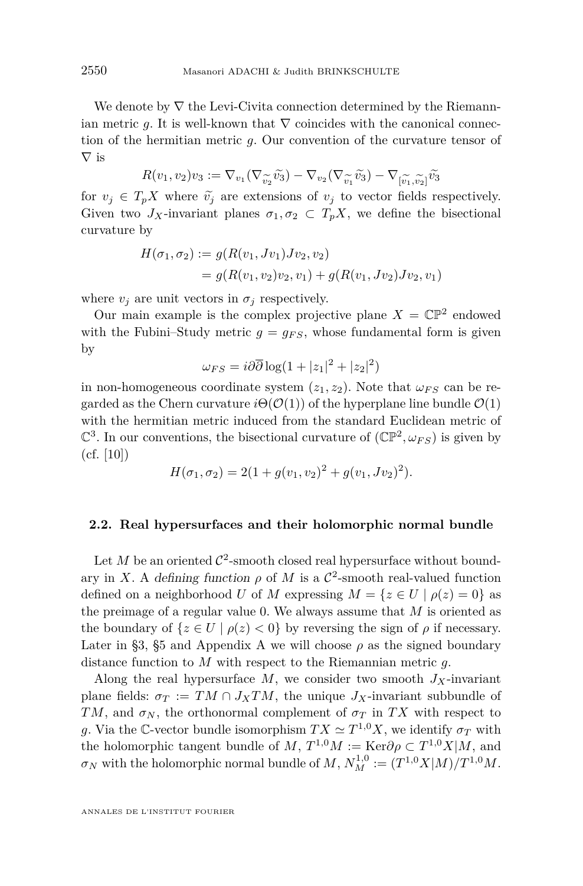<span id="page-4-0"></span>We denote by  $\nabla$  the Levi-Civita connection determined by the Riemannian metric *g*. It is well-known that  $\nabla$  coincides with the canonical connection of the hermitian metric *g*. Our convention of the curvature tensor of  $\nabla$  is

$$
R(v_1, v_2)v_3 := \nabla_{v_1}(\nabla_{\widetilde{v_2}}\widetilde{v_3}) - \nabla_{v_2}(\nabla_{\widetilde{v_1}}\widetilde{v_3}) - \nabla_{[\widetilde{v_1}, \widetilde{v_2}]} \widetilde{v_3}
$$
  
by the values of a vector fields.

for  $v_j \in T_p X$  where  $\tilde{v}_j$  are extensions of  $v_j$  to vector fields respectively. Given two  $J_X$ -invariant planes  $\sigma_1, \sigma_2 \subset T_pX$ , we define the bisectional curvature by

$$
H(\sigma_1, \sigma_2) := g(R(v_1, Jv_1)Jv_2, v_2)
$$
  
=  $g(R(v_1, v_2)v_2, v_1) + g(R(v_1, Jv_2)Jv_2, v_1)$ 

where  $v_j$  are unit vectors in  $\sigma_j$  respectively.

Our main example is the complex projective plane  $X = \mathbb{CP}^2$  endowed with the Fubini–Study metric  $g = g_{FS}$ , whose fundamental form is given by

$$
\omega_{FS} = i\partial\overline{\partial}\log(1+|z_1|^2+|z_2|^2)
$$

in non-homogeneous coordinate system  $(z_1, z_2)$ . Note that  $\omega_{FS}$  can be regarded as the Chern curvature  $i\Theta(\mathcal{O}(1))$  of the hyperplane line bundle  $\mathcal{O}(1)$ with the hermitian metric induced from the standard Euclidean metric of  $\mathbb{C}^3$ . In our conventions, the bisectional curvature of  $(\mathbb{CP}^2, \omega_{FS})$  is given by (cf. [\[10\]](#page-22-0))

$$
H(\sigma_1, \sigma_2) = 2(1 + g(v_1, v_2)^2 + g(v_1, Jv_2)^2).
$$

#### **2.2. Real hypersurfaces and their holomorphic normal bundle**

Let  $M$  be an oriented  $\mathcal{C}^2$ -smooth closed real hypersurface without boundary in *X*. A defining function  $\rho$  of *M* is a  $\mathcal{C}^2$ -smooth real-valued function defined on a neighborhood *U* of *M* expressing  $M = \{z \in U \mid \rho(z) = 0\}$  as the preimage of a regular value 0. We always assume that *M* is oriented as the boundary of  $\{z \in U \mid \rho(z) < 0\}$  by reversing the sign of  $\rho$  if necessary. Later in [§3,](#page-8-0) [§5](#page-14-0) and [A](#page-18-0)ppendix A we will choose  $\rho$  as the signed boundary distance function to *M* with respect to the Riemannian metric *g*.

Along the real hypersurface  $M$ , we consider two smooth  $J_X$ -invariant plane fields:  $\sigma_T := TM \cap J_XTM$ , the unique  $J_X$ -invariant subbundle of *TM*, and  $\sigma_N$ , the orthonormal complement of  $\sigma_T$  in *TX* with respect to *g*. Via the C-vector bundle isomorphism  $TX \simeq T^{1,0}X$ , we identify  $\sigma_T$  with the holomorphic tangent bundle of  $M$ ,  $T^{1,0}M := \text{Ker}\partial\rho \subset T^{1,0}X|M$ , and  $\sigma_N$  with the holomorphic normal bundle of  $M$ ,  $N_M^{1,0} := (T^{1,0}X|M)/T^{1,0}M$ .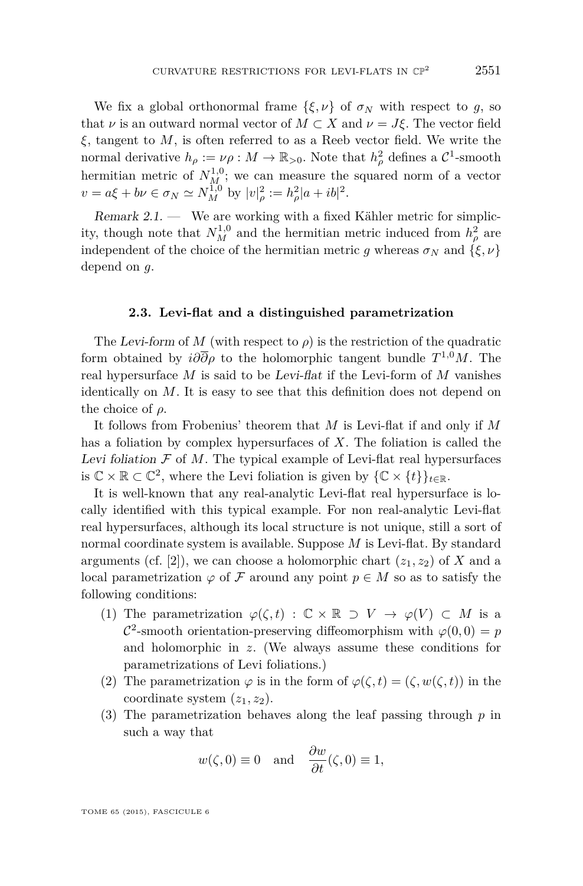We fix a global orthonormal frame  $\{\xi, \nu\}$  of  $\sigma_N$  with respect to *g*, so that  $\nu$  is an outward normal vector of  $M \subset X$  and  $\nu = J \xi$ . The vector field *ξ*, tangent to *M*, is often referred to as a Reeb vector field. We write the normal derivative  $h_{\rho} := \nu \rho : M \to \mathbb{R}_{>0}$ . Note that  $h_{\rho}^2$  defines a  $\mathcal{C}^1$ -smooth hermitian metric of  $N_M^{1,0}$ ; we can measure the squared norm of a vector  $v = a\xi + b\nu \in \sigma_N \simeq N_M^{1,0}$  by  $|v|_\rho^2 := h_\rho^2 |a + ib|^2$ .

Remark 2.1. — We are working with a fixed Kähler metric for simplicity, though note that  $N_M^{1,0}$  and the hermitian metric induced from  $h_\rho^2$  are independent of the choice of the hermitian metric *q* whereas  $\sigma_N$  and  $\{\xi, \nu\}$ depend on *g*.

#### **2.3. Levi-flat and a distinguished parametrization**

The Levi-form of M (with respect to  $\rho$ ) is the restriction of the quadratic form obtained by *i∂∂ρ* to the holomorphic tangent bundle *T* <sup>1</sup>*,*0*M*. The real hypersurface  $M$  is said to be Levi-flat if the Levi-form of  $M$  vanishes identically on *M*. It is easy to see that this definition does not depend on the choice of *ρ*.

It follows from Frobenius' theorem that *M* is Levi-flat if and only if *M* has a foliation by complex hypersurfaces of *X*. The foliation is called the Levi foliation  $\mathcal F$  of  $M$ . The typical example of Levi-flat real hypersurfaces is  $\mathbb{C} \times \mathbb{R} \subset \mathbb{C}^2$ , where the Levi foliation is given by  $\{\mathbb{C} \times \{t\}\}_{t \in \mathbb{R}}$ .

It is well-known that any real-analytic Levi-flat real hypersurface is locally identified with this typical example. For non real-analytic Levi-flat real hypersurfaces, although its local structure is not unique, still a sort of normal coordinate system is available. Suppose *M* is Levi-flat. By standard arguments (cf. [\[2\]](#page-22-0)), we can choose a holomorphic chart  $(z_1, z_2)$  of X and a local parametrization  $\varphi$  of F around any point  $p \in M$  so as to satisfy the following conditions:

- (1) The parametrization  $\varphi(\zeta, t) : \mathbb{C} \times \mathbb{R} \supset V \to \varphi(V) \subset M$  is a  $\mathcal{C}^2$ -smooth orientation-preserving diffeomorphism with  $\varphi(0,0) = p$ and holomorphic in *z*. (We always assume these conditions for parametrizations of Levi foliations.)
- (2) The parametrization  $\varphi$  is in the form of  $\varphi(\zeta, t) = (\zeta, w(\zeta, t))$  in the coordinate system  $(z_1, z_2)$ .
- (3) The parametrization behaves along the leaf passing through *p* in such a way that

$$
w(\zeta,0) \equiv 0
$$
 and  $\frac{\partial w}{\partial t}(\zeta,0) \equiv 1$ ,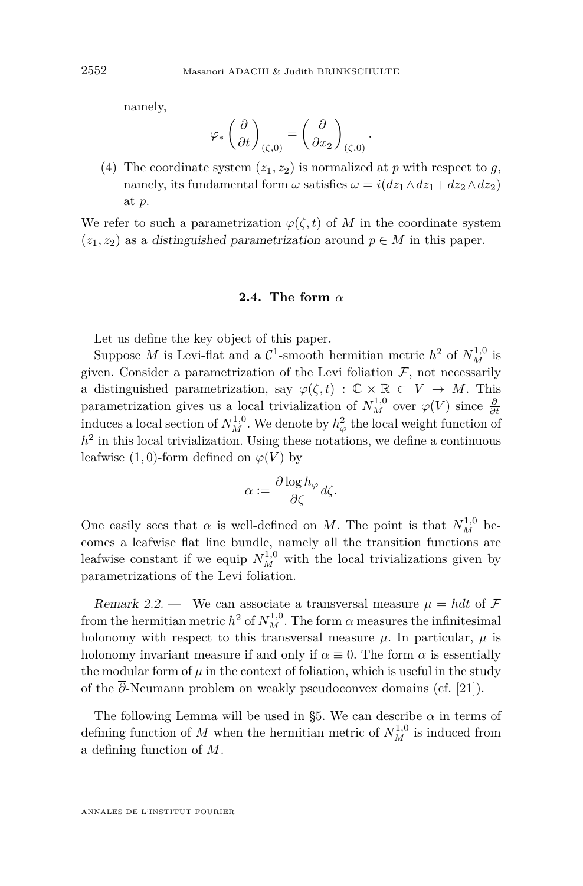<span id="page-6-0"></span>namely,

$$
\varphi_* \left( \frac{\partial}{\partial t} \right)_{(\zeta,0)} = \left( \frac{\partial}{\partial x_2} \right)_{(\zeta,0)}.
$$

(4) The coordinate system  $(z_1, z_2)$  is normalized at p with respect to q, namely, its fundamental form  $\omega$  satisfies  $\omega = i(dz_1 \wedge d\overline{z_1} + dz_2 \wedge d\overline{z_2})$ at *p*.

We refer to such a parametrization  $\varphi(\zeta, t)$  of *M* in the coordinate system  $(z_1, z_2)$  as a distinguished parametrization around  $p \in M$  in this paper.

#### **2.4. The form** *α*

Let us define the key object of this paper.

Suppose *M* is Levi-flat and a  $C^1$ -smooth hermitian metric  $h^2$  of  $N_M^{1,0}$  is given. Consider a parametrization of the Levi foliation  $\mathcal{F}$ , not necessarily a distinguished parametrization, say  $\varphi(\zeta, t) : \mathbb{C} \times \mathbb{R} \subset V \to M$ . This parametrization gives us a local trivialization of  $N_M^{1,0}$  over  $\varphi(V)$  since  $\frac{\partial}{\partial t}$ induces a local section of  $N_M^{1,0}$ . We denote by  $h^2_\varphi$  the local weight function of  $h<sup>2</sup>$  in this local trivialization. Using these notations, we define a continuous leafwise  $(1,0)$ -form defined on  $\varphi(V)$  by

$$
\alpha := \frac{\partial \log h_{\varphi}}{\partial \zeta} d\zeta.
$$

One easily sees that  $\alpha$  is well-defined on *M*. The point is that  $N_M^{1,0}$  becomes a leafwise flat line bundle, namely all the transition functions are leafwise constant if we equip  $N_M^{1,0}$  with the local trivializations given by parametrizations of the Levi foliation.

Remark 2.2. — We can associate a transversal measure  $\mu = h dt$  of F from the hermitian metric  $h^2$  of  $N_M^{1,0}$ . The form  $\alpha$  measures the infinitesimal holonomy with respect to this transversal measure  $\mu$ . In particular,  $\mu$  is holonomy invariant measure if and only if  $\alpha \equiv 0$ . The form  $\alpha$  is essentially the modular form of  $\mu$  in the context of foliation, which is useful in the study of the *∂*-Neumann problem on weakly pseudoconvex domains (cf. [\[21\]](#page-23-0)).

The following Lemma will be used in [§5.](#page-14-0) We can describe  $\alpha$  in terms of defining function of *M* when the hermitian metric of  $N_M^{1,0}$  is induced from a defining function of *M*.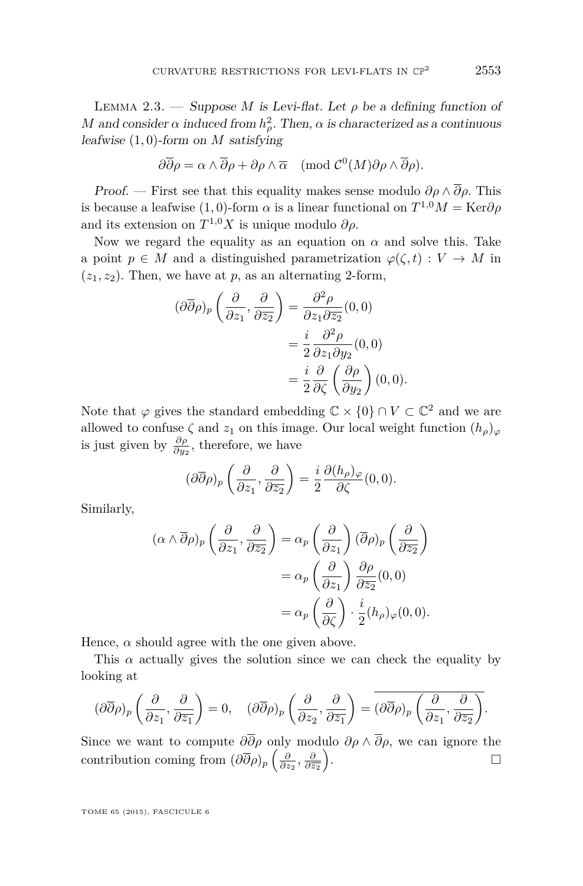<span id="page-7-0"></span>LEMMA 2.3. — Suppose *M* is Levi-flat. Let  $\rho$  be a defining function of *M* and consider  $\alpha$  induced from  $h_{\rho}^2$ . Then,  $\alpha$  is characterized as a continuous leafwise (1*,* 0)-form on *M* satisfying

$$
\partial \overline{\partial} \rho = \alpha \wedge \overline{\partial} \rho + \partial \rho \wedge \overline{\alpha} \pmod{C^0(M) \partial \rho \wedge \overline{\partial} \rho}.
$$

Proof. — First see that this equality makes sense modulo  $\partial \rho \wedge \overline{\partial} \rho$ . This is because a leafwise (1,0)-form  $\alpha$  is a linear functional on  $T^{1,0}M = \text{Ker}\partial \rho$ and its extension on  $T^{1,0}X$  is unique modulo  $\partial \rho$ .

Now we regard the equality as an equation on  $\alpha$  and solve this. Take a point  $p \in M$  and a distinguished parametrization  $\varphi(\zeta, t): V \to M$  in  $(z_1, z_2)$ . Then, we have at *p*, as an alternating 2-form,

$$
(\partial \overline{\partial} \rho)_p \left( \frac{\partial}{\partial z_1}, \frac{\partial}{\partial \overline{z_2}} \right) = \frac{\partial^2 \rho}{\partial z_1 \partial \overline{z_2}} (0, 0)
$$
  
=  $\frac{i}{2} \frac{\partial^2 \rho}{\partial z_1 \partial y_2} (0, 0)$   
=  $\frac{i}{2} \frac{\partial}{\partial \zeta} \left( \frac{\partial \rho}{\partial y_2} \right) (0, 0).$ 

Note that  $\varphi$  gives the standard embedding  $\mathbb{C} \times \{0\} \cap V \subset \mathbb{C}^2$  and we are allowed to confuse  $\zeta$  and  $z_1$  on this image. Our local weight function  $(h_\rho)_{\varphi}$ is just given by  $\frac{\partial \rho}{\partial y_2}$ , therefore, we have

$$
(\partial\overline{\partial}\rho)_p\left(\frac{\partial}{\partial z_1},\frac{\partial}{\partial\overline{z_2}}\right)=\frac{i}{2}\frac{\partial(h_\rho)_\varphi}{\partial\zeta}(0,0).
$$

Similarly,

$$
(\alpha \wedge \overline{\partial} \rho)_p \left( \frac{\partial}{\partial z_1}, \frac{\partial}{\partial \overline{z_2}} \right) = \alpha_p \left( \frac{\partial}{\partial z_1} \right) (\overline{\partial} \rho)_p \left( \frac{\partial}{\partial \overline{z_2}} \right)
$$

$$
= \alpha_p \left( \frac{\partial}{\partial z_1} \right) \frac{\partial \rho}{\partial \overline{z_2}} (0, 0)
$$

$$
= \alpha_p \left( \frac{\partial}{\partial \zeta} \right) \cdot \frac{i}{2} (h_\rho)_\varphi (0, 0).
$$

Hence,  $\alpha$  should agree with the one given above.

This  $\alpha$  actually gives the solution since we can check the equality by looking at

$$
(\partial\overline{\partial}\rho)_p\left(\frac{\partial}{\partial z_1},\frac{\partial}{\partial\overline{z_1}}\right)=0,\quad (\partial\overline{\partial}\rho)_p\left(\frac{\partial}{\partial z_2},\frac{\partial}{\partial\overline{z_1}}\right)=\overline{(\partial\overline{\partial}\rho)_p\left(\frac{\partial}{\partial z_1},\frac{\partial}{\partial\overline{z_2}}\right)}.
$$

Since we want to compute  $\partial \overline{\partial}\rho$  only modulo  $\partial \rho \wedge \overline{\partial}\rho$ , we can ignore the contribution coming from  $(\partial \overline{\partial} \rho)_p \left( \frac{\partial}{\partial z_2}, \frac{\partial}{\partial \overline{z_2}} \right)$ . — Первый профессиональный профессиональный профессиональный профессиональный профессиональный профессиональн<br>В 1990 году в 1990 году в 1990 году в 1990 году в 1990 году в 1990 году в 1990 году в 1990 году в 1990 году в<br>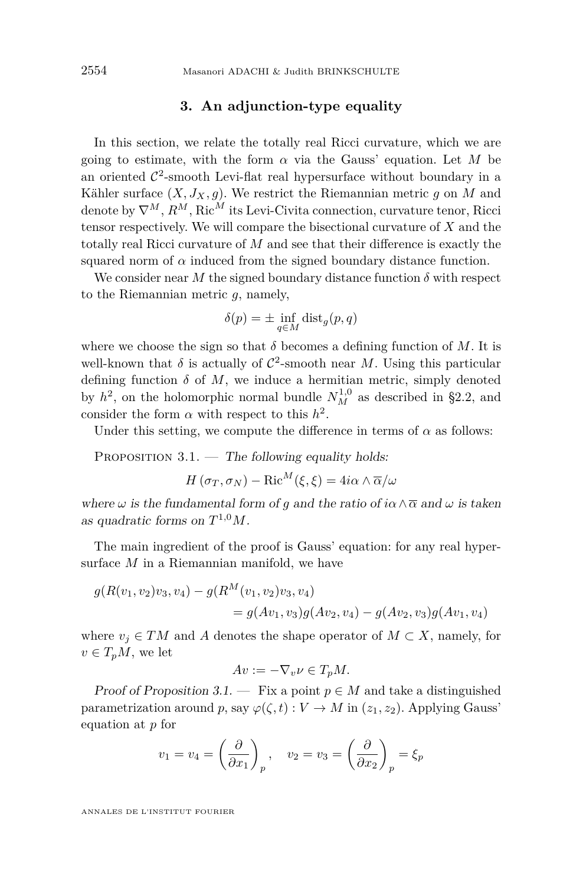#### **3. An adjunction-type equality**

<span id="page-8-0"></span>In this section, we relate the totally real Ricci curvature, which we are going to estimate, with the form  $\alpha$  via the Gauss' equation. Let *M* be an oriented  $\mathcal{C}^2$ -smooth Levi-flat real hypersurface without boundary in a Kähler surface  $(X, J_X, g)$ . We restrict the Riemannian metric g on M and denote by ∇*<sup>M</sup>*, *RM*, Ric*<sup>M</sup>* its Levi-Civita connection, curvature tenor, Ricci tensor respectively. We will compare the bisectional curvature of *X* and the totally real Ricci curvature of *M* and see that their difference is exactly the squared norm of  $\alpha$  induced from the signed boundary distance function.

We consider near *M* the signed boundary distance function  $\delta$  with respect to the Riemannian metric *g*, namely,

$$
\delta(p) = \pm \inf_{q \in M} \text{dist}_g(p,q)
$$

where we choose the sign so that  $\delta$  becomes a defining function of M. It is well-known that  $\delta$  is actually of  $\mathcal{C}^2$ -smooth near M. Using this particular defining function  $\delta$  of  $M$ , we induce a hermitian metric, simply denoted by  $h^2$ , on the holomorphic normal bundle  $N_M^{1,0}$  as described in [§2.2,](#page-4-0) and consider the form  $\alpha$  with respect to this  $h^2$ .

Under this setting, we compute the difference in terms of  $\alpha$  as follows:

PROPOSITION  $3.1.$  — The following equality holds:

$$
H(\sigma_T, \sigma_N) - \text{Ric}^M(\xi, \xi) = 4i\alpha \wedge \overline{\alpha}/\omega
$$

where  $\omega$  is the fundamental form of *g* and the ratio of  $i\alpha \wedge \overline{\alpha}$  and  $\omega$  is taken as quadratic forms on  $T^{1,0}M$ .

The main ingredient of the proof is Gauss' equation: for any real hypersurface *M* in a Riemannian manifold, we have

$$
g(R(v_1, v_2)v_3, v_4) - g(R^M(v_1, v_2)v_3, v_4)
$$
  
=  $g(Av_1, v_3)g(Av_2, v_4) - g(Av_2, v_3)g(Av_1, v_4)$ 

where  $v_j \in TM$  and *A* denotes the shape operator of  $M \subset X$ , namely, for  $v \in T_pM$ , we let

$$
Av := -\nabla_v \nu \in T_p M.
$$

Proof of Proposition 3.1. — Fix a point  $p \in M$  and take a distinguished parametrization around *p*, say  $\varphi(\zeta, t) : V \to M$  in  $(z_1, z_2)$ . Applying Gauss' equation at *p* for

$$
v_1 = v_4 = \left(\frac{\partial}{\partial x_1}\right)_p, \quad v_2 = v_3 = \left(\frac{\partial}{\partial x_2}\right)_p = \xi_p
$$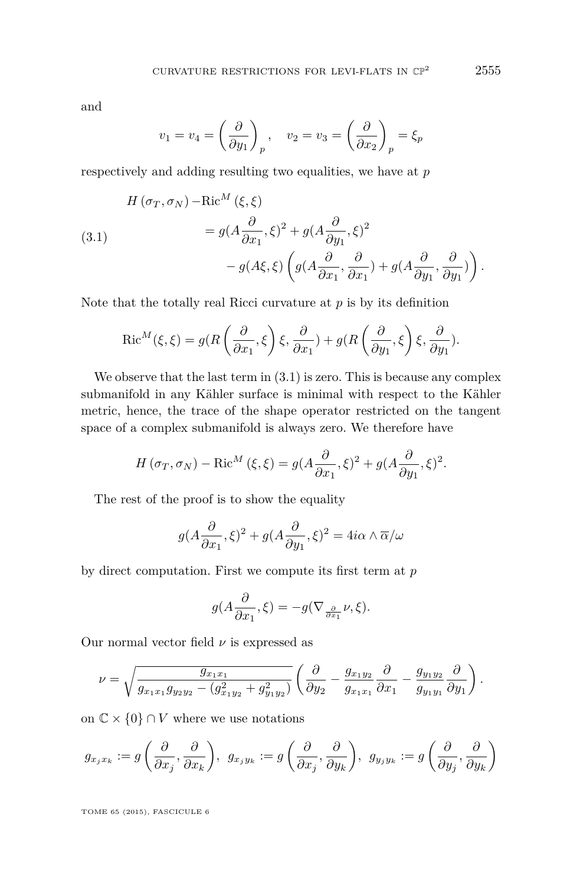and

$$
v_1 = v_4 = \left(\frac{\partial}{\partial y_1}\right)_p, \quad v_2 = v_3 = \left(\frac{\partial}{\partial x_2}\right)_p = \xi_p
$$

respectively and adding resulting two equalities, we have at *p*

(3.1)  
\n
$$
H(\sigma_T, \sigma_N) - \text{Ric}^M(\xi, \xi)
$$
\n
$$
= g(A \frac{\partial}{\partial x_1}, \xi)^2 + g(A \frac{\partial}{\partial y_1}, \xi)^2
$$
\n
$$
- g(A\xi, \xi) \left( g(A \frac{\partial}{\partial x_1}, \frac{\partial}{\partial x_1}) + g(A \frac{\partial}{\partial y_1}, \frac{\partial}{\partial y_1}) \right).
$$

Note that the totally real Ricci curvature at *p* is by its definition

$$
\operatorname{Ric}^M(\xi,\xi) = g(R\left(\frac{\partial}{\partial x_1},\xi\right)\xi,\frac{\partial}{\partial x_1}) + g(R\left(\frac{\partial}{\partial y_1},\xi\right)\xi,\frac{\partial}{\partial y_1}).
$$

We observe that the last term in  $(3.1)$  is zero. This is because any complex submanifold in any Kähler surface is minimal with respect to the Kähler metric, hence, the trace of the shape operator restricted on the tangent space of a complex submanifold is always zero. We therefore have

$$
H(\sigma_T, \sigma_N) - \text{Ric}^M(\xi, \xi) = g(A \frac{\partial}{\partial x_1}, \xi)^2 + g(A \frac{\partial}{\partial y_1}, \xi)^2.
$$

The rest of the proof is to show the equality

$$
g(A\frac{\partial}{\partial x_1}, \xi)^2 + g(A\frac{\partial}{\partial y_1}, \xi)^2 = 4i\alpha \wedge \overline{\alpha}/\omega
$$

by direct computation. First we compute its first term at *p*

$$
g(A\frac{\partial}{\partial x_1},\xi) = -g(\nabla_{\frac{\partial}{\partial x_1}}\nu,\xi).
$$

Our normal vector field *ν* is expressed as

$$
\nu = \sqrt{\frac{g_{x_1x_1}}{g_{x_1x_1}g_{y_2y_2} - (g_{x_1y_2}^2 + g_{y_1y_2}^2)}} \left(\frac{\partial}{\partial y_2} - \frac{g_{x_1y_2}}{g_{x_1x_1}} \frac{\partial}{\partial x_1} - \frac{g_{y_1y_2}}{g_{y_1y_1}} \frac{\partial}{\partial y_1}\right).
$$

on  $\mathbb{C} \times \{0\} \cap V$  where we use notations

$$
g_{x_jx_k}:=g\left(\frac{\partial}{\partial x_j},\frac{\partial}{\partial x_k}\right),\ \ g_{x_jy_k}:=g\left(\frac{\partial}{\partial x_j},\frac{\partial}{\partial y_k}\right),\ \ g_{y_jy_k}:=g\left(\frac{\partial}{\partial y_j},\frac{\partial}{\partial y_k}\right)
$$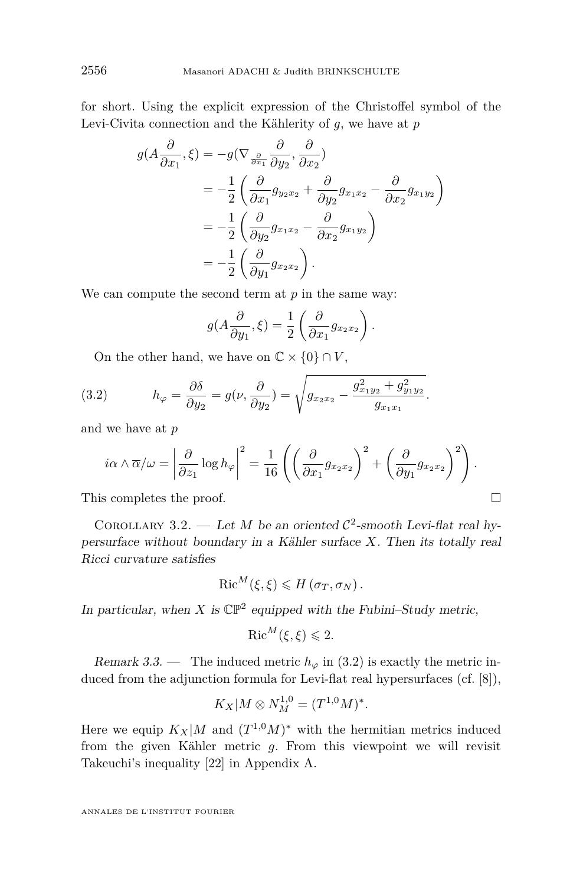<span id="page-10-0"></span>for short. Using the explicit expression of the Christoffel symbol of the Levi-Civita connection and the Kählerity of *g*, we have at *p*

$$
g(A\frac{\partial}{\partial x_1}, \xi) = -g(\nabla_{\frac{\partial}{\partial x_1}} \frac{\partial}{\partial y_2}, \frac{\partial}{\partial x_2})
$$
  
=  $-\frac{1}{2} \left( \frac{\partial}{\partial x_1} g_{y_2 x_2} + \frac{\partial}{\partial y_2} g_{x_1 x_2} - \frac{\partial}{\partial x_2} g_{x_1 y_2} \right)$   
=  $-\frac{1}{2} \left( \frac{\partial}{\partial y_2} g_{x_1 x_2} - \frac{\partial}{\partial x_2} g_{x_1 y_2} \right)$   
=  $-\frac{1}{2} \left( \frac{\partial}{\partial y_1} g_{x_2 x_2} \right).$ 

We can compute the second term at *p* in the same way:

$$
g(A\frac{\partial}{\partial y_1}, \xi) = \frac{1}{2} \left( \frac{\partial}{\partial x_1} g_{x_2 x_2} \right).
$$

On the other hand, we have on  $\mathbb{C} \times \{0\} \cap V$ ,

(3.2) 
$$
h_{\varphi} = \frac{\partial \delta}{\partial y_2} = g(\nu, \frac{\partial}{\partial y_2}) = \sqrt{g_{x_2 x_2} - \frac{g_{x_1 y_2}^2 + g_{y_1 y_2}^2}{g_{x_1 x_1}}}.
$$

and we have at *p*

$$
i\alpha \wedge \overline{\alpha}/\omega = \left|\frac{\partial}{\partial z_1} \log h_{\varphi}\right|^2 = \frac{1}{16} \left( \left(\frac{\partial}{\partial x_1} g_{x_2 x_2}\right)^2 + \left(\frac{\partial}{\partial y_1} g_{x_2 x_2}\right)^2 \right).
$$

This completes the proof.

COROLLARY 3.2. — Let *M* be an oriented  $C^2$ -smooth Levi-flat real hypersurface without boundary in a Kähler surface *X*. Then its totally real Ricci curvature satisfies

 $Ric^M(\xi, \xi) \leq H(\sigma_T, \sigma_N)$ .

In particular, when  $X$  is  $\mathbb{CP}^2$  equipped with the Fubini–Study metric,

$$
\operatorname{Ric}^M(\xi,\xi) \leq 2.
$$

Remark 3.3. — The induced metric  $h_{\varphi}$  in (3.2) is exactly the metric induced from the adjunction formula for Levi-flat real hypersurfaces (cf. [\[8\]](#page-22-0)),

$$
K_X|M \otimes N_M^{1,0} = (T^{1,0}M)^*.
$$

Here we equip  $K_X|M$  and  $(T^{1,0}M)^*$  with the hermitian metrics induced from the given Kähler metric *g*. From this viewpoint we will revisit Takeuchi's inequality [\[22\]](#page-23-0) in Appendix [A.](#page-18-0)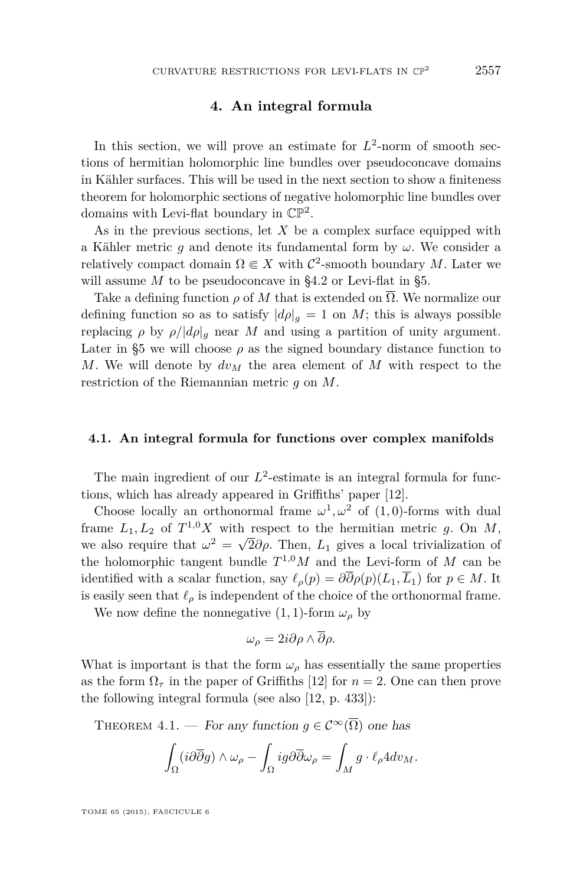#### **4. An integral formula**

<span id="page-11-0"></span>In this section, we will prove an estimate for  $L^2$ -norm of smooth sections of hermitian holomorphic line bundles over pseudoconcave domains in Kähler surfaces. This will be used in the next section to show a finiteness theorem for holomorphic sections of negative holomorphic line bundles over domains with Levi-flat boundary in  $\mathbb{CP}^2$ .

As in the previous sections, let *X* be a complex surface equipped with a Kähler metric *g* and denote its fundamental form by *ω*. We consider a relatively compact domain  $\Omega \in X$  with  $\mathcal{C}^2$ -smooth boundary *M*. Later we will assume *M* to be pseudoconcave in [§4.2](#page-12-0) or Levi-flat in [§5.](#page-14-0)

Take a defining function  $\rho$  of M that is extended on  $\overline{\Omega}$ . We normalize our defining function so as to satisfy  $|d\rho|_q = 1$  on *M*; this is always possible replacing *ρ* by  $ρ/|dρ|<sub>q</sub>$  near *M* and using a partition of unity argument. Later in [§5](#page-14-0) we will choose  $\rho$  as the signed boundary distance function to *M*. We will denote by  $dv_M$  the area element of *M* with respect to the restriction of the Riemannian metric *g* on *M*.

#### **4.1. An integral formula for functions over complex manifolds**

The main ingredient of our  $L^2$ -estimate is an integral formula for functions, which has already appeared in Griffiths' paper [\[12\]](#page-22-0).

Choose locally an orthonormal frame  $\omega^1, \omega^2$  of  $(1,0)$ -forms with dual frame  $L_1, L_2$  of  $T^{1,0}X$  with respect to the hermitian metric *g*. On *M*, we also require that  $\omega^2 = \sqrt{2}\partial\rho$ . Then,  $L_1$  gives a local trivialization of the holomorphic tangent bundle  $T^{1,0}M$  and the Levi-form of  $M$  can be identified with a scalar function, say  $\ell_{\rho}(p) = \partial \overline{\partial} \rho(p)(L_1, \overline{L}_1)$  for  $p \in M$ . It is easily seen that  $\ell_{\rho}$  is independent of the choice of the orthonormal frame.

We now define the nonnegative  $(1, 1)$ -form  $\omega_{\rho}$  by

$$
\omega_{\rho} = 2i\partial \rho \wedge \overline{\partial} \rho.
$$

What is important is that the form  $\omega_{\rho}$  has essentially the same properties as the form  $\Omega_{\tau}$  in the paper of Griffiths [\[12\]](#page-22-0) for  $n = 2$ . One can then prove the following integral formula (see also [\[12,](#page-22-0) p. 433]):

THEOREM 4.1. — For any function  $g \in C^{\infty}(\overline{\Omega})$  one has

$$
\int_{\Omega} (i \partial \overline{\partial} g) \wedge \omega_{\rho} - \int_{\Omega} i g \partial \overline{\partial} \omega_{\rho} = \int_{M} g \cdot \ell_{\rho} 4 dv_{M}.
$$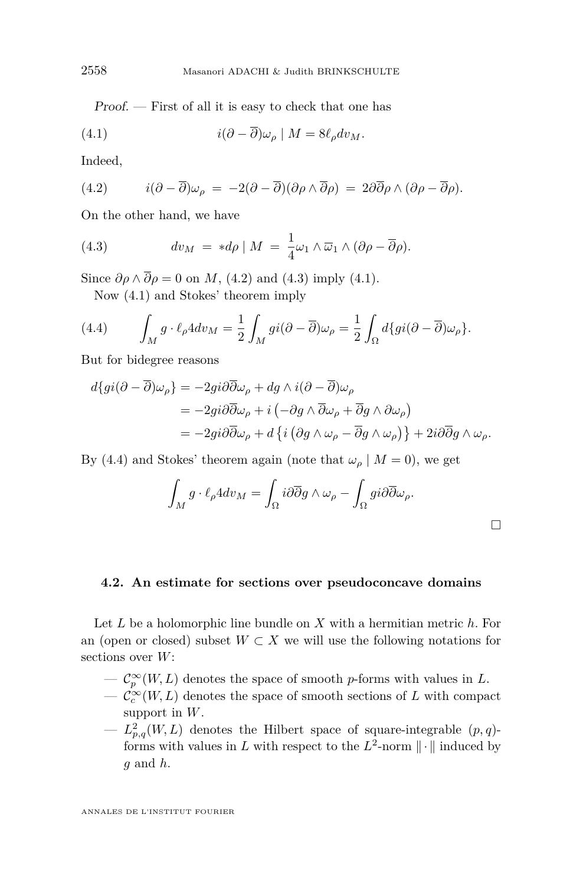<span id="page-12-0"></span>Proof. — First of all it is easy to check that one has

(4.1) 
$$
i(\partial - \overline{\partial})\omega_{\rho} \mid M = 8\ell_{\rho}dv_M.
$$

Indeed,

(4.2) 
$$
i(\partial - \overline{\partial})\omega_{\rho} = -2(\partial - \overline{\partial})(\partial \rho \wedge \overline{\partial}\rho) = 2\partial \overline{\partial}\rho \wedge (\partial \rho - \overline{\partial}\rho).
$$

On the other hand, we have

(4.3) 
$$
dv_M = *d\rho \mid M = \frac{1}{4}\omega_1 \wedge \overline{\omega}_1 \wedge (\partial \rho - \overline{\partial}\rho).
$$

Since  $\partial \rho \wedge \overline{\partial} \rho = 0$  on *M*, (4.2) and (4.3) imply (4.1). Now (4.1) and Stokes' theorem imply

$$
(4.4) \qquad \int_M g\cdot \ell_\rho 4 dv_M = \frac{1}{2}\int_M gi(\partial - \overline{\partial})\omega_\rho = \frac{1}{2}\int_\Omega d\{gi(\partial - \overline{\partial})\omega_\rho\}.
$$

But for bidegree reasons

$$
d\{gi(\partial - \overline{\partial})\omega_{\rho}\} = -2gi\partial\overline{\partial}\omega_{\rho} + dg \wedge i(\partial - \overline{\partial})\omega_{\rho}
$$
  
=  $-2gi\partial\overline{\partial}\omega_{\rho} + i(-\partial g \wedge \overline{\partial}\omega_{\rho} + \overline{\partial}g \wedge \partial\omega_{\rho})$   
=  $-2gi\partial\overline{\partial}\omega_{\rho} + d\{i(\partial g \wedge \omega_{\rho} - \overline{\partial}g \wedge \omega_{\rho})\} + 2i\partial\overline{\partial}g \wedge \omega_{\rho}.$ 

By (4.4) and Stokes' theorem again (note that  $\omega_{\rho}$  |  $M = 0$ ), we get

$$
\int_M g \cdot \ell_{\rho} 4 dv_M = \int_{\Omega} i \partial \overline{\partial} g \wedge \omega_{\rho} - \int_{\Omega} g i \partial \overline{\partial} \omega_{\rho}.
$$

 $\Box$ 

#### **4.2. An estimate for sections over pseudoconcave domains**

Let *L* be a holomorphic line bundle on *X* with a hermitian metric *h*. For an (open or closed) subset  $W \subset X$  we will use the following notations for sections over *W*:

- $-\mathcal{C}_p^{\infty}(W,L)$  denotes the space of smooth *p*-forms with values in L.
- $−$   $\mathcal{C}_c^{\infty}(W,L)$  denotes the space of smooth sections of *L* with compact support in *W*.
- $-L_{p,q}^2(W,L)$  denotes the Hilbert space of square-integrable  $(p,q)$ forms with values in L with respect to the  $L^2$ -norm  $\|\cdot\|$  induced by *g* and *h*.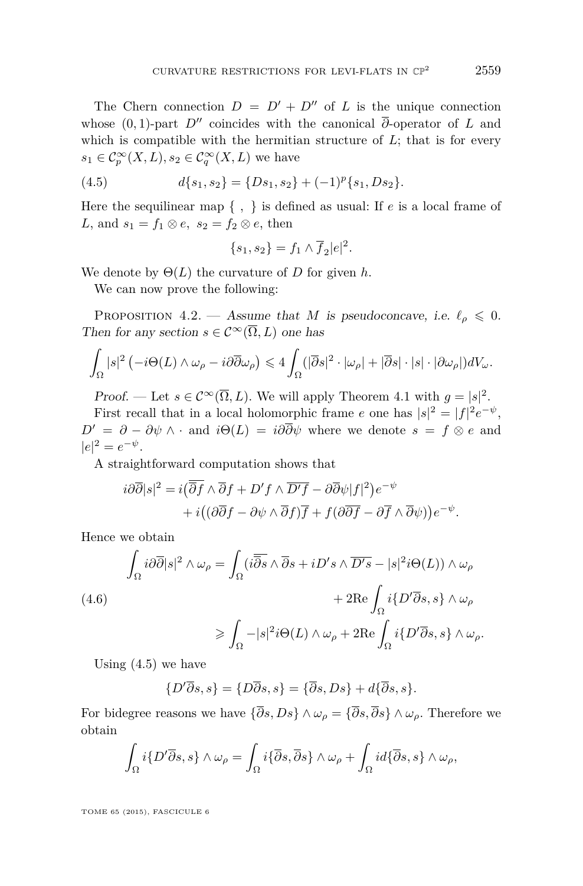<span id="page-13-0"></span>The Chern connection  $D = D' + D''$  of *L* is the unique connection whose  $(0, 1)$ -part *D<sup>0</sup>* coincides with the canonical  $\overline{\partial}$ -operator of *L* and which is compatible with the hermitian structure of *L*; that is for every  $s_1 \in C_p^{\infty}(X, L), s_2 \in C_q^{\infty}(X, L)$  we have

(4.5) 
$$
d\{s_1, s_2\} = \{Ds_1, s_2\} + (-1)^p \{s_1, Ds_2\}.
$$

Here the sequilinear map { *,* } is defined as usual: If *e* is a local frame of *L*, and  $s_1 = f_1 \otimes e$ ,  $s_2 = f_2 \otimes e$ , then

$$
\{s_1, s_2\} = f_1 \wedge \overline{f}_2 |e|^2.
$$

We denote by  $\Theta(L)$  the curvature of *D* for given *h*.

We can now prove the following:

PROPOSITION 4.2. — Assume that *M* is pseudoconcave, i.e.  $\ell_{\rho} \leq 0$ . Then for any section  $s \in C^{\infty}(\overline{\Omega}, L)$  one has

$$
\int_{\Omega} |s|^2 \left( -i \Theta(L) \wedge \omega_{\rho} - i \partial \overline{\partial} \omega_{\rho} \right) \leq 4 \int_{\Omega} (|\overline{\partial} s|^2 \cdot |\omega_{\rho}| + |\overline{\partial} s| \cdot |s| \cdot |\partial \omega_{\rho}|) dV_{\omega}.
$$

Proof. — Let  $s \in C^{\infty}(\overline{\Omega}, L)$ . We will apply Theorem [4.1](#page-11-0) with  $g = |s|^2$ .

First recall that in a local holomorphic frame *e* one has  $|s|^2 = |f|^2 e^{-\psi}$ , *D*<sup> $\prime$ </sup> =  $\partial$  −  $\partial \psi$  ∧ · and *i* $\Theta$ (*L*) = *i* $\partial \overline{\partial} \psi$  where we denote *s* = *f* ⊗ *e* and  $|e|^2 = e^{-\psi}.$ 

A straightforward computation shows that

$$
i\partial\overline{\partial}|s|^2 = i(\overline{\partial} f \wedge \overline{\partial} f + D' f \wedge \overline{D'f} - \partial\overline{\partial}\psi|f|^2)e^{-\psi} + i((\partial\overline{\partial} f - \partial\psi \wedge \overline{\partial} f)\overline{f} + f(\partial\overline{\partial}\overline{f} - \partial\overline{f} \wedge \overline{\partial}\psi))e^{-\psi}.
$$

Hence we obtain

$$
\int_{\Omega} i\partial\overline{\partial}|s|^{2} \wedge \omega_{\rho} = \int_{\Omega} (i\overline{\overline{\partial}s} \wedge \overline{\partial}s + iD's \wedge \overline{D's} - |s|^{2}i\Theta(L)) \wedge \omega_{\rho} \n+ 2\text{Re} \int_{\Omega} i\{D'\overline{\partial}s, s\} \wedge \omega_{\rho} \n\geq \int_{\Omega} -|s|^{2}i\Theta(L) \wedge \omega_{\rho} + 2\text{Re} \int_{\Omega} i\{D'\overline{\partial}s, s\} \wedge \omega_{\rho}.
$$

Using  $(4.5)$  we have

$$
\{D'\overline{\partial}s, s\} = \{D\overline{\partial}s, s\} = \{\overline{\partial}s, Ds\} + d\{\overline{\partial}s, s\}.
$$

For bidegree reasons we have  ${\overline{\partial}} s, Ds$   $\wedge \omega_{\rho} = {\overline{\partial}} s, {\overline{\partial}} s$   $\wedge \omega_{\rho}$ . Therefore we obtain

$$
\int_{\Omega} i\{D'\overline{\partial}s,s\}\wedge\omega_{\rho}=\int_{\Omega} i\{\overline{\partial}s,\overline{\partial}s\}\wedge\omega_{\rho}+\int_{\Omega} id\{\overline{\partial}s,s\}\wedge\omega_{\rho},
$$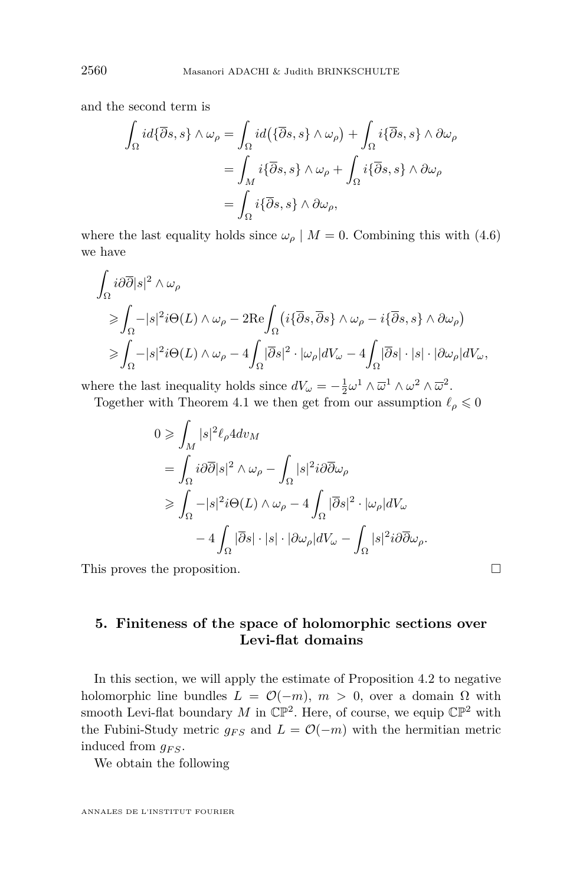<span id="page-14-0"></span>and the second term is

$$
\int_{\Omega} id\{\overline{\partial}s, s\} \wedge \omega_{\rho} = \int_{\Omega} id\{ \{\overline{\partial}s, s\} \wedge \omega_{\rho} \} + \int_{\Omega} i\{\overline{\partial}s, s\} \wedge \partial \omega_{\rho}
$$

$$
= \int_{M} i\{\overline{\partial}s, s\} \wedge \omega_{\rho} + \int_{\Omega} i\{\overline{\partial}s, s\} \wedge \partial \omega_{\rho}
$$

$$
= \int_{\Omega} i\{\overline{\partial}s, s\} \wedge \partial \omega_{\rho},
$$

where the last equality holds since  $\omega_{\rho}$  | *M* = 0. Combining this with [\(4.6\)](#page-13-0) we have

$$
\int_{\Omega} i \partial \overline{\partial} |s|^2 \wedge \omega_{\rho}
$$
\n
$$
\geq \int_{\Omega} -|s|^2 i\Theta(L) \wedge \omega_{\rho} - 2 \text{Re} \int_{\Omega} \left( i \{\overline{\partial} s, \overline{\partial} s\} \wedge \omega_{\rho} - i \{\overline{\partial} s, s\} \wedge \partial \omega_{\rho} \right)
$$
\n
$$
\geq \int_{\Omega} -|s|^2 i\Theta(L) \wedge \omega_{\rho} - 4 \int_{\Omega} |\overline{\partial} s|^2 \cdot |\omega_{\rho}| dV_{\omega} - 4 \int_{\Omega} |\overline{\partial} s| \cdot |s| \cdot |\partial \omega_{\rho}| dV_{\omega},
$$

where the last inequality holds since  $dV_\omega = -\frac{1}{2}\omega^1 \wedge \overline{\omega}^1 \wedge \omega^2 \wedge \overline{\omega}^2$ .

Together with Theorem [4.1](#page-11-0) we then get from our assumption  $\ell_{\rho} \leq 0$ 

$$
0 \ge \int_M |s|^2 \ell_{\rho} 4 dv_M
$$
  
=  $\int_{\Omega} i \partial \overline{\partial} |s|^2 \wedge \omega_{\rho} - \int_{\Omega} |s|^2 i \partial \overline{\partial} \omega_{\rho}$   
 $\ge \int_{\Omega} -|s|^2 i \Theta(L) \wedge \omega_{\rho} - 4 \int_{\Omega} |\overline{\partial} s|^2 \cdot |\omega_{\rho}| dV_{\omega}$   
 $- 4 \int_{\Omega} |\overline{\partial} s| \cdot |s| \cdot |\partial \omega_{\rho}| dV_{\omega} - \int_{\Omega} |s|^2 i \partial \overline{\partial} \omega_{\rho}.$ 

This proves the proposition.

### **5. Finiteness of the space of holomorphic sections over Levi-flat domains**

In this section, we will apply the estimate of Proposition [4.2](#page-13-0) to negative holomorphic line bundles  $L = \mathcal{O}(-m)$ ,  $m > 0$ , over a domain  $\Omega$  with smooth Levi-flat boundary M in  $\mathbb{CP}^2$ . Here, of course, we equip  $\mathbb{CP}^2$  with the Fubini-Study metric  $g_{FS}$  and  $L = \mathcal{O}(-m)$  with the hermitian metric induced from  $q_{FS}$ .

We obtain the following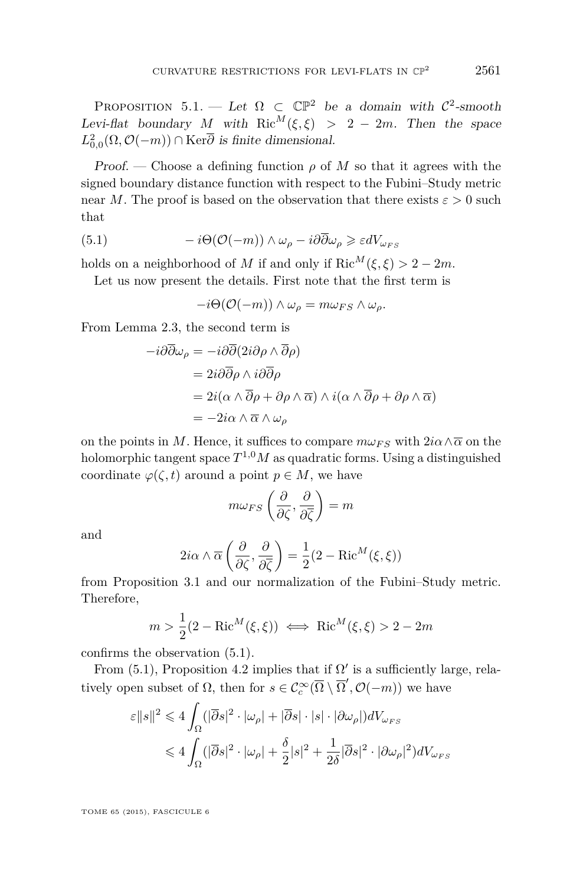PROPOSITION 5.1. — Let  $\Omega \subset \mathbb{CP}^2$  be a domain with  $\mathcal{C}^2$ -smooth Levi-flat boundary *M* with  $\text{Ric}^M(\xi,\xi) > 2 - 2m$ . Then the space  $L_{0,0}^2(\Omega, \mathcal{O}(-m)) \cap \text{Ker}\overline{\partial}$  is finite dimensional.

Proof. — Choose a defining function  $\rho$  of M so that it agrees with the signed boundary distance function with respect to the Fubini–Study metric near *M*. The proof is based on the observation that there exists  $\varepsilon > 0$  such that

(5.1) 
$$
-i\Theta(\mathcal{O}(-m)) \wedge \omega_{\rho} - i\partial \overline{\partial} \omega_{\rho} \geq \varepsilon dV_{\omega_{FS}}
$$

holds on a neighborhood of *M* if and only if  $Ric^M(\xi, \xi) > 2 - 2m$ .

Let us now present the details. First note that the first term is

$$
-i\Theta(\mathcal{O}(-m)) \wedge \omega_{\rho} = m\omega_{FS} \wedge \omega_{\rho}.
$$

From Lemma [2.3,](#page-7-0) the second term is

$$
-i\partial\overline{\partial}\omega_{\rho} = -i\partial\overline{\partial}(2i\partial\rho \wedge \overline{\partial}\rho)
$$
  
=  $2i\partial\overline{\partial}\rho \wedge i\partial\overline{\partial}\rho$   
=  $2i(\alpha \wedge \overline{\partial}\rho + \partial\rho \wedge \overline{\alpha}) \wedge i(\alpha \wedge \overline{\partial}\rho + \partial\rho \wedge \overline{\alpha})$   
=  $-2i\alpha \wedge \overline{\alpha} \wedge \omega_{\rho}$ 

on the points in *M*. Hence, it suffices to compare  $m\omega_{FS}$  with  $2i\alpha\wedge\overline{\alpha}$  on the holomorphic tangent space  $T^{1,0}M$  as quadratic forms. Using a distinguished coordinate  $\varphi(\zeta, t)$  around a point  $p \in M$ , we have

$$
m\omega_{FS}\left(\frac{\partial}{\partial \zeta},\frac{\partial}{\partial \overline{\zeta}}\right)=m
$$

and

$$
2i\alpha \wedge \overline{\alpha}\left(\frac{\partial}{\partial \zeta}, \frac{\partial}{\partial \overline{\zeta}}\right) = \frac{1}{2}(2 - \text{Ric}^M(\xi, \xi))
$$

from Proposition [3.1](#page-8-0) and our normalization of the Fubini–Study metric. Therefore,

$$
m > \frac{1}{2}(2 - \text{Ric}^M(\xi, \xi)) \iff \text{Ric}^M(\xi, \xi) > 2 - 2m
$$

confirms the observation (5*.*1).

From  $(5.1)$ , Proposition [4.2](#page-13-0) implies that if  $\Omega'$  is a sufficiently large, relatively open subset of  $\Omega$ , then for  $s \in C_c^{\infty}(\overline{\Omega} \setminus \overline{\Omega}', \mathcal{O}(-m))$  we have

$$
\begin{aligned} \varepsilon\|s\|^2 &\leqslant 4\int_\Omega (|\overline{\partial}s|^2\cdot|\omega_\rho|+|\overline{\partial}s|\cdot|s|\cdot|\partial\omega_\rho|)dV_{\omega_{FS}}\\ &\leqslant 4\int_\Omega (|\overline{\partial}s|^2\cdot|\omega_\rho|+\frac{\delta}{2}|s|^2+\frac{1}{2\delta}|\overline{\partial}s|^2\cdot|\partial\omega_\rho|^2)dV_{\omega_{FS}} \end{aligned}
$$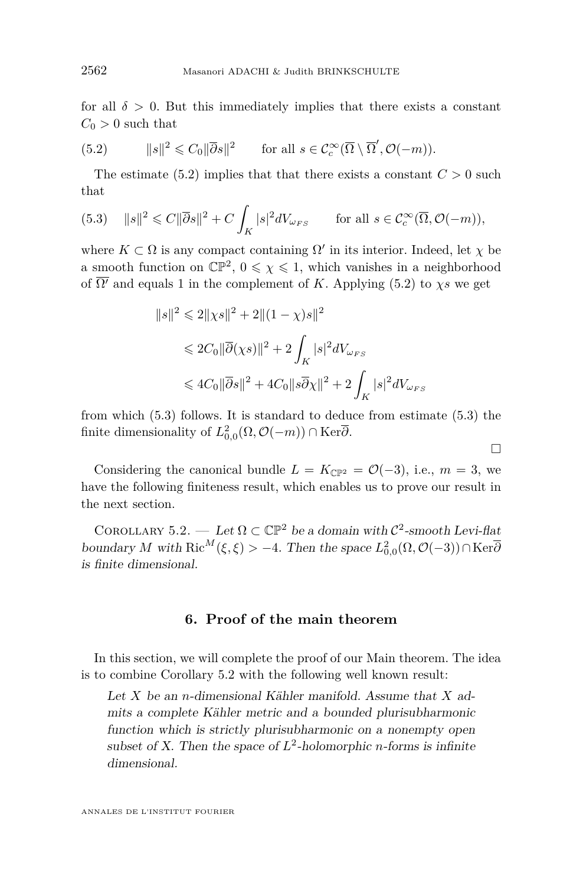<span id="page-16-0"></span>for all  $\delta > 0$ . But this immediately implies that there exists a constant  $C_0 > 0$  such that

(5.2) 
$$
||s||^2 \leq C_0 ||\overline{\partial}s||^2 \quad \text{for all } s \in C_c^{\infty}(\overline{\Omega} \setminus \overline{\Omega}', \mathcal{O}(-m)).
$$

The estimate  $(5.2)$  implies that that there exists a constant  $C > 0$  such that

(5.3) 
$$
||s||^2 \leq C ||\overline{\partial}s||^2 + C \int_K |s|^2 dV_{\omega_{FS}}
$$
 for all  $s \in C_c^{\infty}(\overline{\Omega}, \mathcal{O}(-m))$ ,

where  $K \subset \Omega$  is any compact containing  $\Omega'$  in its interior. Indeed, let  $\chi$  be a smooth function on  $\mathbb{CP}^2$ ,  $0 \le \chi \le 1$ , which vanishes in a neighborhood of  $\overline{\Omega'}$  and equals 1 in the complement of *K*. Applying (5.2) to *χs* we get

$$
||s||^{2} \leq 2||\chi s||^{2} + 2||(1 - \chi)s||^{2}
$$
  
\n
$$
\leq 2C_{0}||\overline{\partial}(\chi s)||^{2} + 2\int_{K} |s|^{2}dV_{\omega_{FS}}
$$
  
\n
$$
\leq 4C_{0}||\overline{\partial}s||^{2} + 4C_{0}||s\overline{\partial}\chi||^{2} + 2\int_{K} |s|^{2}dV_{\omega_{FS}}
$$

from which (5.3) follows. It is standard to deduce from estimate (5.3) the finite dimensionality of  $L^2_{0,0}(\Omega, \mathcal{O}(-m)) \cap \text{Ker}\overline{\partial}$ .

 $\Box$ 

Considering the canonical bundle  $L = K_{\mathbb{CP}^2} = \mathcal{O}(-3)$ , i.e.,  $m = 3$ , we have the following finiteness result, which enables us to prove our result in the next section.

COROLLARY 5.2. — Let  $\Omega \subset \mathbb{CP}^2$  be a domain with  $\mathcal{C}^2$ -smooth Levi-flat boundary *M* with Ric<sup>*M*</sup>( $\xi, \xi$ ) > −4. Then the space  $L^2_{0,0}(\Omega, \mathcal{O}(-3)) \cap \text{Ker}\overline{\partial}$ is finite dimensional.

#### **6. Proof of the main theorem**

In this section, we will complete the proof of our Main theorem. The idea is to combine Corollary 5.2 with the following well known result:

Let *X* be an *n*-dimensional Kähler manifold. Assume that *X* admits a complete Kähler metric and a bounded plurisubharmonic function which is strictly plurisubharmonic on a nonempty open subset of X. Then the space of  $L^2$ -holomorphic *n*-forms is infinite dimensional.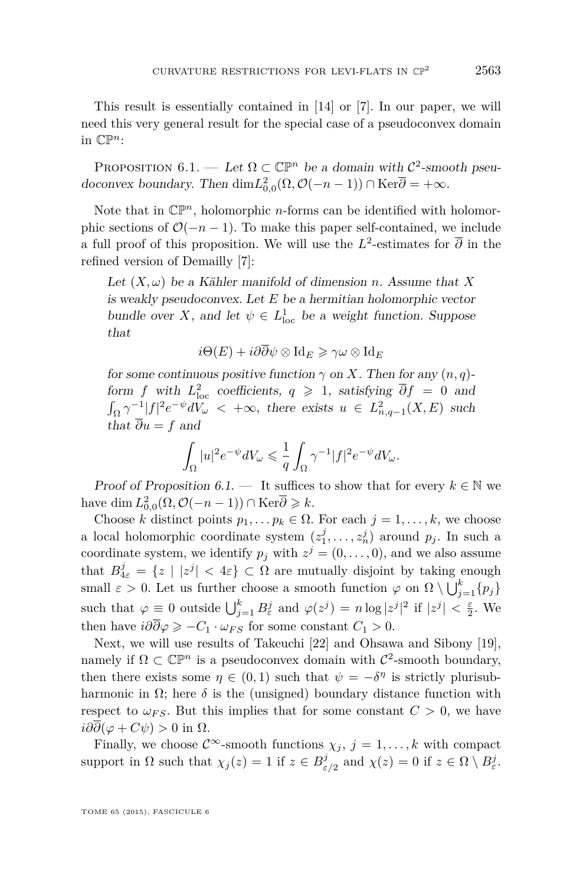<span id="page-17-0"></span>This result is essentially contained in [\[14\]](#page-22-0) or [\[7\]](#page-22-0). In our paper, we will need this very general result for the special case of a pseudoconvex domain in  $\mathbb{CP}^n$ :

PROPOSITION  $6.1.$  — Let  $\Omega \subset \mathbb{CP}^n$  be a domain with  $\mathcal{C}^2$ -smooth pseudoconvex boundary. Then  $\dim L^2_{0,0}(\Omega, \mathcal{O}(-n-1)) \cap \text{Ker}\overline{\partial} = +\infty$ .

Note that in  $\mathbb{CP}^n$ , holomorphic *n*-forms can be identified with holomorphic sections of  $\mathcal{O}(-n-1)$ . To make this paper self-contained, we include a full proof of this proposition. We will use the  $L^2$ -estimates for  $\overline{\partial}$  in the refined version of Demailly [\[7\]](#page-22-0):

Let  $(X, \omega)$  be a Kähler manifold of dimension *n*. Assume that X is weakly pseudoconvex. Let *E* be a hermitian holomorphic vector bundle over *X*, and let  $\psi \in L^1_{loc}$  be a weight function. Suppose that

$$
i\Theta(E) + i\partial\overline{\partial}\psi \otimes \text{Id}_E \geqslant \gamma\omega \otimes \text{Id}_E
$$

for some continuous positive function  $\gamma$  on *X*. Then for any  $(n, q)$ form *f* with  $L_{loc}^2$  coefficients,  $q \ge 1$ , satisfying  $\overline{\partial} f = 0$  and  $\int_{\Omega} \gamma^{-1} |f|^2 e^{-\psi} dV_{\omega} < +\infty$ , there exists  $u \in L^2_{n,q-1}(X,E)$  such that  $\overline{\partial} u = f$  and

$$
\int_{\Omega}|u|^2e^{-\psi}dV_{\omega}\leqslant \frac{1}{q}\int_{\Omega}\gamma^{-1}|f|^2e^{-\psi}dV_{\omega}.
$$

Proof of Proposition 6.1. — It suffices to show that for every  $k \in \mathbb{N}$  we have  $\dim L^2_{0,0}(\Omega, \mathcal{O}(-n-1)) \cap \text{Ker}\overline{\partial} \geqslant k.$ 

Choose *k* distinct points  $p_1, \ldots, p_k \in \Omega$ . For each  $j = 1, \ldots, k$ , we choose a local holomorphic coordinate system  $(z_1^j, \ldots, z_n^j)$  around  $p_j$ . In such a coordinate system, we identify  $p_j$  with  $z^j = (0, \ldots, 0)$ , and we also assume that  $B_{4\varepsilon}^j = \{z \mid |z^j| < 4\varepsilon\} \subset \Omega$  are mutually disjoint by taking enough small  $\varepsilon > 0$ . Let us further choose a smooth function  $\varphi$  on  $\Omega \setminus \bigcup_{j=1}^{k} \{p_j\}$ such that  $\varphi \equiv 0$  outside  $\bigcup_{j=1}^{k} B_{\varepsilon}^{j}$  and  $\varphi(z^{j}) = n \log |z^{j}|^{2}$  if  $|z^{j}| < \frac{\varepsilon}{2}$ . We then have  $i\partial\overline{\partial}\varphi \geqslant -C_1 \cdot \omega_{FS}$  for some constant  $C_1 > 0$ .

Next, we will use results of Takeuchi [\[22\]](#page-23-0) and Ohsawa and Sibony [\[19\]](#page-23-0), namely if  $\Omega \subset \mathbb{CP}^n$  is a pseudoconvex domain with  $\mathcal{C}^2$ -smooth boundary, then there exists some  $\eta \in (0,1)$  such that  $\psi = -\delta^{\eta}$  is strictly plurisubharmonic in  $\Omega$ ; here  $\delta$  is the (unsigned) boundary distance function with respect to  $\omega_{FS}$ . But this implies that for some constant  $C > 0$ , we have  $i\partial\overline{\partial}(\varphi + C\psi) > 0$  in  $\Omega$ .

Finally, we choose  $\mathcal{C}^{\infty}$ -smooth functions  $\chi_j$ ,  $j = 1, ..., k$  with compact support in  $\Omega$  such that  $\chi_j(z) = 1$  if  $z \in B^j_{\varepsilon}$  $\chi(z) = 0$  if  $z \in \Omega \setminus B_{\varepsilon}^j$ .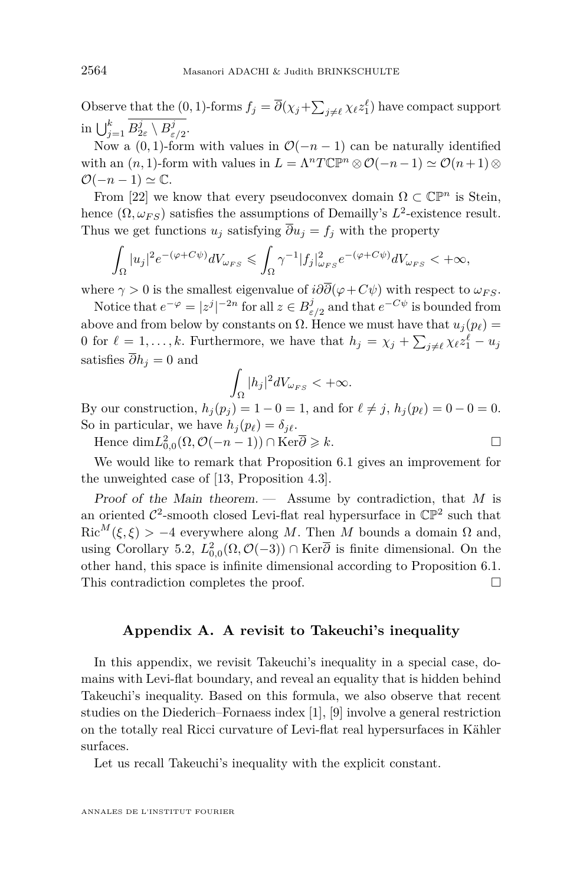<span id="page-18-0"></span>Observe that the  $(0, 1)$ -forms  $f_j = \overline{\partial}(\chi_j + \sum_{j \neq \ell} \chi_{\ell} z_1^{\ell})$  have compact support in  $\bigcup_{j=1}^k B_{2\varepsilon}^j \setminus B_{\varepsilon}^j$ *ε/*2 .

Now a  $(0, 1)$ -form with values in  $\mathcal{O}(-n-1)$  can be naturally identified with an  $(n, 1)$ -form with values in  $L = \Lambda^n T \mathbb{CP}^n \otimes \mathcal{O}(-n-1) \simeq \mathcal{O}(n+1) \otimes$  $\mathcal{O}(-n-1) \simeq \mathbb{C}.$ 

From [\[22\]](#page-23-0) we know that every pseudoconvex domain  $\Omega \subset \mathbb{CP}^n$  is Stein, hence  $(\Omega, \omega_{FS})$  satisfies the assumptions of Demailly's  $L^2$ -existence result. Thus we get functions  $u_j$  satisfying  $\overline{\partial} u_j = f_j$  with the property

$$
\int_{\Omega}|u_j|^2e^{-(\varphi+C\psi)}dV_{\omega_{FS}} \leq \int_{\Omega}\gamma^{-1}|f_j|^2_{\omega_{FS}}e^{-(\varphi+C\psi)}dV_{\omega_{FS}} < +\infty,
$$

where  $\gamma > 0$  is the smallest eigenvalue of  $i\partial\overline{\partial}(\varphi + C\psi)$  with respect to  $\omega_{FS}$ .

Notice that  $e^{-\varphi} = |z^j|^{-2n}$  for all  $z \in B^j_{\varepsilon}$  $\frac{d^j}{d\varepsilon^j/2}$  and that  $e^{-C\psi}$  is bounded from above and from below by constants on  $\Omega$ . Hence we must have that  $u_i(p_\ell)$  = 0 for  $\ell = 1, \ldots, k$ . Furthermore, we have that  $h_j = \chi_j + \sum_{j \neq \ell} \chi_{\ell} z_1^{\ell} - u_j$ satisfies  $\overline{\partial} h_i = 0$  and

$$
\int_{\Omega} |h_j|^2 dV_{\omega_{FS}} < +\infty.
$$

By our construction,  $h_j(p_j) = 1 - 0 = 1$ , and for  $\ell \neq j$ ,  $h_j(p_\ell) = 0 - 0 = 0$ . So in particular, we have  $h_j(p_\ell) = \delta_{j\ell}$ .

Hence  $\dim L^2_{0,0}(\Omega, \mathcal{O}(-n-1))$  ∩ Ker $\overline{\partial} \ge k$ . □

We would like to remark that Proposition [6.1](#page-17-0) gives an improvement for the unweighted case of [\[13,](#page-22-0) Proposition 4.3].

Proof of the Main theorem. — Assume by contradiction, that *M* is an oriented  $\mathcal{C}^2$ -smooth closed Levi-flat real hypersurface in  $\mathbb{CP}^2$  such that Ric<sup>M</sup>( $\xi, \xi$ ) > −4 everywhere along *M*. Then *M* bounds a domain  $\Omega$  and, using Corollary [5.2,](#page-16-0)  $L_{0,0}^2(\Omega, \mathcal{O}(-3)) \cap \text{Ker}\overline{\partial}$  is finite dimensional. On the other hand, this space is infinite dimensional according to Proposition [6.1.](#page-17-0) This contradiction completes the proof.

#### **Appendix A. A revisit to Takeuchi's inequality**

In this appendix, we revisit Takeuchi's inequality in a special case, domains with Levi-flat boundary, and reveal an equality that is hidden behind Takeuchi's inequality. Based on this formula, we also observe that recent studies on the Diederich–Fornaess index [\[1\]](#page-22-0), [\[9\]](#page-22-0) involve a general restriction on the totally real Ricci curvature of Levi-flat real hypersurfaces in Kähler surfaces.

Let us recall Takeuchi's inequality with the explicit constant.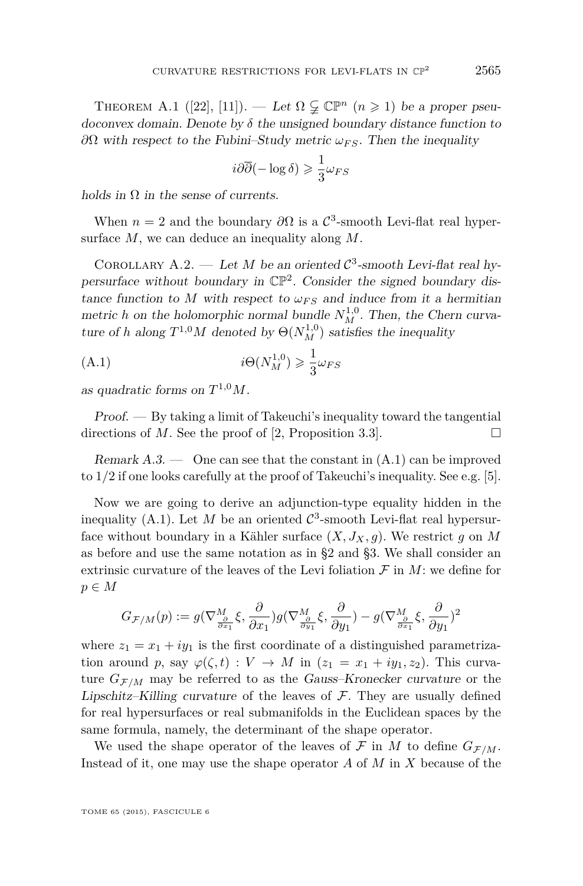THEOREM A.1 ([\[22\]](#page-23-0), [\[11\]](#page-22-0)). — Let  $\Omega \subsetneq \mathbb{CP}^n$   $(n \geq 1)$  be a proper pseudoconvex domain. Denote by  $\delta$  the unsigned boundary distance function to *∂Ω* with respect to the Fubini–Study metric *ωFS*. Then the inequality

$$
i\partial\overline{\partial}(-\log\delta) \geqslant \frac{1}{3}\omega_{FS}
$$

holds in  $\Omega$  in the sense of currents.

When  $n = 2$  and the boundary  $\partial \Omega$  is a  $\mathcal{C}^3$ -smooth Levi-flat real hypersurface *M*, we can deduce an inequality along *M*.

COROLLARY A.2. — Let *M* be an oriented  $C^3$ -smooth Levi-flat real hypersurface without boundary in  $\mathbb{CP}^2$ . Consider the signed boundary distance function to *M* with respect to  $\omega_{FS}$  and induce from it a hermitian metric *h* on the holomorphic normal bundle  $N_M^{1,0}$ . Then, the Chern curvature of *h* along  $T^{1,0}M$  denoted by  $\Theta(N_M^{1,0})$  satisfies the inequality

(A.1) 
$$
i\Theta(N_M^{1,0}) \geq \frac{1}{3}\omega_{FS}
$$

as quadratic forms on  $T^{1,0}M$ .

Proof. — By taking a limit of Takeuchi's inequality toward the tangential directions of *M*. See the proof of [\[2,](#page-22-0) Proposition 3.3].

Remark  $A.3.$  — One can see that the constant in  $(A.1)$  can be improved to 1*/*2 if one looks carefully at the proof of Takeuchi's inequality. See e.g. [\[5\]](#page-22-0).

Now we are going to derive an adjunction-type equality hidden in the inequality (A.1). Let M be an oriented  $\mathcal{C}^3$ -smooth Levi-flat real hypersurface without boundary in a Kähler surface  $(X, J_X, g)$ . We restrict g on M as before and use the same notation as in [§2](#page-3-0) and [§3.](#page-8-0) We shall consider an extrinsic curvature of the leaves of the Levi foliation  $\mathcal F$  in  $M$ : we define for  $p \in M$ 

$$
G_{\mathcal{F}/M}(p):=g(\nabla^{M}_{\frac{\partial}{\partial x_{1}}}\xi,\frac{\partial}{\partial x_{1}})g(\nabla^{M}_{\frac{\partial}{\partial y_{1}}}\xi,\frac{\partial}{\partial y_{1}})-g(\nabla^{M}_{\frac{\partial}{\partial x_{1}}}\xi,\frac{\partial}{\partial y_{1}})^{2}
$$

where  $z_1 = x_1 + iy_1$  is the first coordinate of a distinguished parametrization around *p*, say  $\varphi(\zeta, t) : V \to M$  in  $(z_1 = x_1 + iy_1, z_2)$ . This curvature  $G_{\mathcal{F}/M}$  may be referred to as the Gauss–Kronecker curvature or the Lipschitz–Killing curvature of the leaves of  $\mathcal F$ . They are usually defined for real hypersurfaces or real submanifolds in the Euclidean spaces by the same formula, namely, the determinant of the shape operator.

We used the shape operator of the leaves of F in M to define  $G_{\mathcal{F}/M}$ . Instead of it, one may use the shape operator *A* of *M* in *X* because of the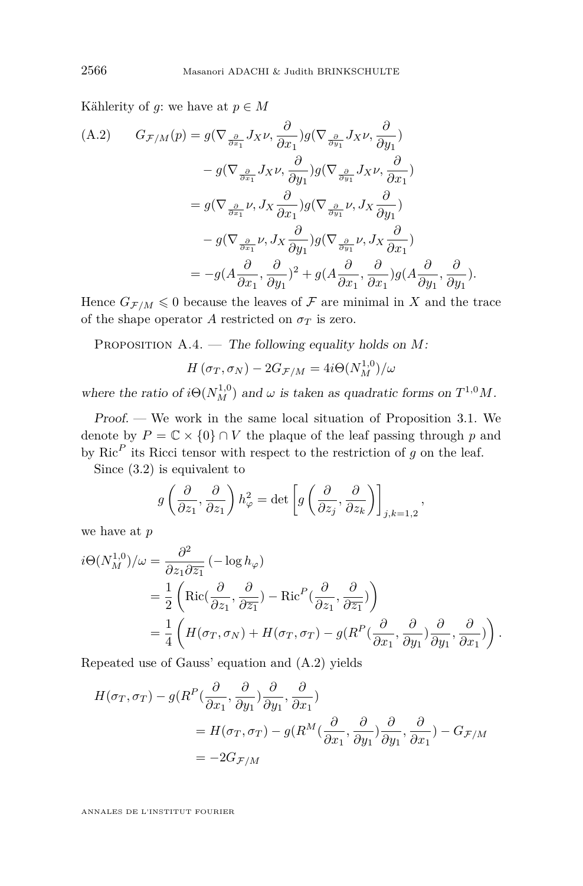<span id="page-20-0"></span>Kählerity of *g*: we have at  $p \in M$ 

(A.2) 
$$
G_{\mathcal{F}/M}(p) = g(\nabla_{\frac{\partial}{\partial x_1}} J_X \nu, \frac{\partial}{\partial x_1}) g(\nabla_{\frac{\partial}{\partial y_1}} J_X \nu, \frac{\partial}{\partial y_1})
$$

$$
- g(\nabla_{\frac{\partial}{\partial x_1}} J_X \nu, \frac{\partial}{\partial y_1}) g(\nabla_{\frac{\partial}{\partial y_1}} J_X \nu, \frac{\partial}{\partial x_1})
$$

$$
= g(\nabla_{\frac{\partial}{\partial x_1}} \nu, J_X \frac{\partial}{\partial x_1}) g(\nabla_{\frac{\partial}{\partial y_1}} \nu, J_X \frac{\partial}{\partial y_1})
$$

$$
- g(\nabla_{\frac{\partial}{\partial x_1}} \nu, J_X \frac{\partial}{\partial y_1}) g(\nabla_{\frac{\partial}{\partial y_1}} \nu, J_X \frac{\partial}{\partial x_1})
$$

$$
= -g(A \frac{\partial}{\partial x_1}, \frac{\partial}{\partial y_1})^2 + g(A \frac{\partial}{\partial x_1}, \frac{\partial}{\partial x_1}) g(A \frac{\partial}{\partial y_1}, \frac{\partial}{\partial y_1}).
$$

Hence  $G_{\mathcal{F}/M} \leq 0$  because the leaves of  $\mathcal F$  are minimal in X and the trace of the shape operator *A* restricted on  $\sigma_T$  is zero.

PROPOSITION A.4. — The following equality holds on *M*:

$$
H\left(\sigma_{T},\sigma_{N}\right)-2G_{\mathcal{F}/M}=4i\Theta(N_{M}^{1,0})/\omega
$$

where the ratio of  $i\Theta(N_M^{1,0})$  and  $\omega$  is taken as quadratic forms on  $T^{1,0}M$ .

Proof. — We work in the same local situation of Proposition [3.1.](#page-8-0) We denote by  $P = \mathbb{C} \times \{0\} \cap V$  the plaque of the leaf passing through *p* and by  $Ric<sup>P</sup>$  its Ricci tensor with respect to the restriction of *g* on the leaf.

Since [\(3.2\)](#page-10-0) is equivalent to

$$
g\left(\frac{\partial}{\partial z_1}, \frac{\partial}{\partial z_1}\right) h_{\varphi}^2 = \det \left[ g\left(\frac{\partial}{\partial z_j}, \frac{\partial}{\partial z_k}\right) \right]_{j,k=1,2},
$$

we have at *p*

$$
i\Theta(N_M^{1,0})/\omega = \frac{\partial^2}{\partial z_1 \partial \overline{z_1}} \left( -\log h_{\varphi} \right)
$$
  
=  $\frac{1}{2} \left( \text{Ric}(\frac{\partial}{\partial z_1}, \frac{\partial}{\partial \overline{z_1}}) - \text{Ric}^P(\frac{\partial}{\partial z_1}, \frac{\partial}{\partial \overline{z_1}}) \right)$   
=  $\frac{1}{4} \left( H(\sigma_T, \sigma_N) + H(\sigma_T, \sigma_T) - g(R^P(\frac{\partial}{\partial x_1}, \frac{\partial}{\partial y_1}, \frac{\partial}{\partial y_1}, \frac{\partial}{\partial x_1}) \right).$ 

Repeated use of Gauss' equation and (A.2) yields

$$
H(\sigma_T, \sigma_T) - g(R^P(\frac{\partial}{\partial x_1}, \frac{\partial}{\partial y_1}) \frac{\partial}{\partial y_1}, \frac{\partial}{\partial x_1})
$$
  
=  $H(\sigma_T, \sigma_T) - g(R^M(\frac{\partial}{\partial x_1}, \frac{\partial}{\partial y_1}) \frac{\partial}{\partial y_1}, \frac{\partial}{\partial x_1}) - G_{\mathcal{F}/M}$   
=  $-2G_{\mathcal{F}/M}$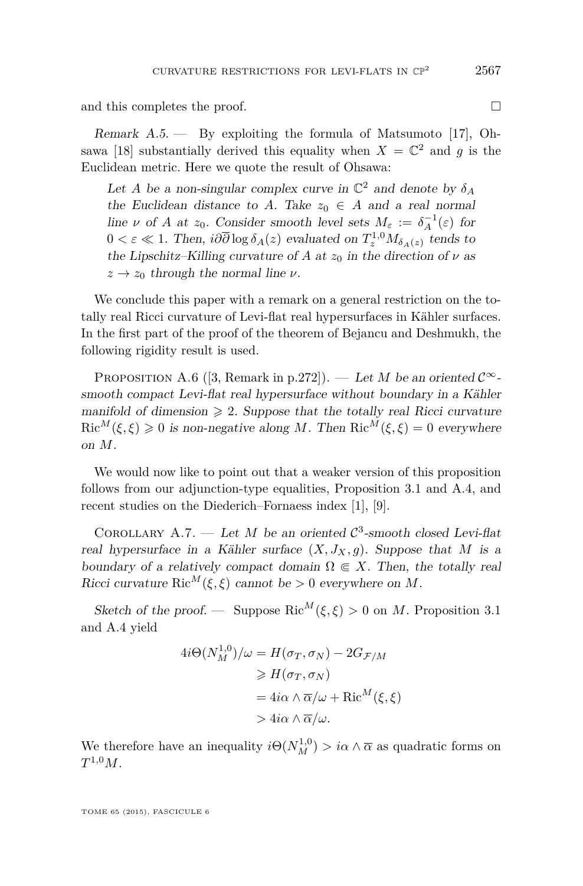and this completes the proof.

Remark  $A.5.$  — By exploiting the formula of Matsumoto [\[17\]](#page-23-0), Oh-sawa [\[18\]](#page-23-0) substantially derived this equality when  $X = \mathbb{C}^2$  and g is the Euclidean metric. Here we quote the result of Ohsawa:

Let *A* be a non-singular complex curve in  $\mathbb{C}^2$  and denote by  $\delta_A$ the Euclidean distance to *A*. Take  $z_0 \in A$  and a real normal line *ν* of *A* at *z*<sub>0</sub>. Consider smooth level sets  $M_{\varepsilon} := \delta_A^{-1}(\varepsilon)$  for  $0 < \varepsilon \ll 1$ . Then,  $i\partial\overline{\partial} \log \delta_A(z)$  evaluated on  $T_z^{1,0} M_{\delta_A(z)}$  tends to the Lipschitz–Killing curvature of *A* at  $z_0$  in the direction of  $\nu$  as  $z \rightarrow z_0$  through the normal line  $\nu$ .

We conclude this paper with a remark on a general restriction on the totally real Ricci curvature of Levi-flat real hypersurfaces in Kähler surfaces. In the first part of the proof of the theorem of Bejancu and Deshmukh, the following rigidity result is used.

PROPOSITION A.6 ([\[3,](#page-22-0) Remark in p.272]). — Let *M* be an oriented  $\mathcal{C}^{\infty}$ smooth compact Levi-flat real hypersurface without boundary in a Kähler manifold of dimension  $\geq 2$ . Suppose that the totally real Ricci curvature  $Ric^{M}(\xi, \xi) \geq 0$  is non-negative along *M*. Then  $Ric^{M}(\xi, \xi) = 0$  everywhere on *M*.

We would now like to point out that a weaker version of this proposition follows from our adjunction-type equalities, Proposition [3.1](#page-8-0) and [A.4,](#page-20-0) and recent studies on the Diederich–Fornaess index [\[1\]](#page-22-0), [\[9\]](#page-22-0).

COROLLARY A.7. — Let *M* be an oriented  $C^3$ -smooth closed Levi-flat real hypersurface in a Kähler surface  $(X, J_X, g)$ . Suppose that M is a boundary of a relatively compact domain  $\Omega \in X$ . Then, the totally real Ricci curvature Ric<sup>M</sup>( $\xi, \xi$ ) cannot be  $> 0$  everywhere on M.

Sketch of the proof. — Suppose Ric<sup>M</sup>( $\xi, \xi$ ) > 0 on *M*. Proposition [3.1](#page-8-0) and [A.4](#page-20-0) yield

$$
4i\Theta(N_M^{1,0})/\omega = H(\sigma_T, \sigma_N) - 2G_{\mathcal{F}/M}
$$

$$
\geq H(\sigma_T, \sigma_N)
$$

$$
= 4i\alpha \wedge \overline{\alpha}/\omega + \text{Ric}^M(\xi, \xi)
$$

$$
> 4i\alpha \wedge \overline{\alpha}/\omega.
$$

We therefore have an inequality  $i\Theta(N_M^{1,0}) > i\alpha \wedge \overline{\alpha}$  as quadratic forms on  $T^{1,0}M$ .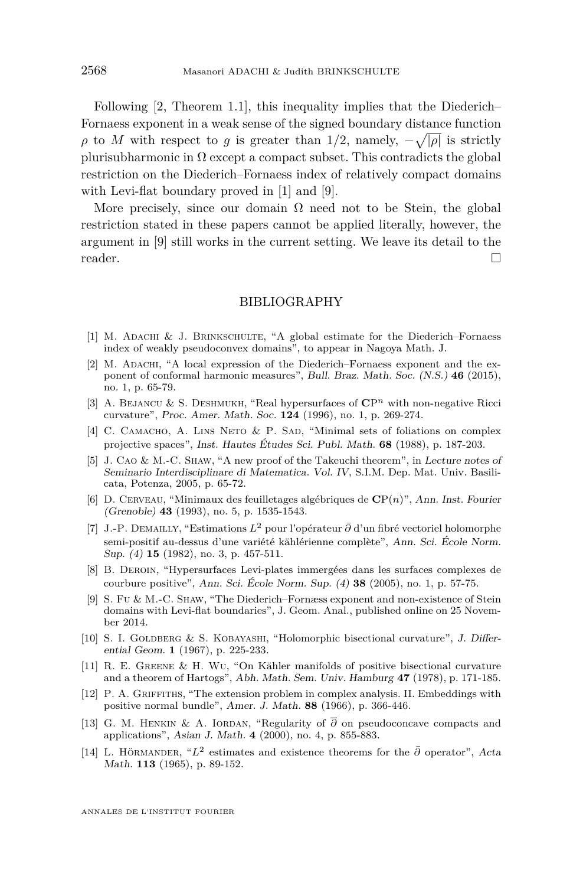<span id="page-22-0"></span>Following [2, Theorem 1.1], this inequality implies that the Diederich– Fornaess exponent in a weak sense of the signed boundary distance function *ρ* to *M* with respect to *g* is greater than  $1/2$ , namely,  $-\sqrt{|\rho|}$  is strictly plurisubharmonic in  $\Omega$  except a compact subset. This contradicts the global restriction on the Diederich–Fornaess index of relatively compact domains with Levi-flat boundary proved in [1] and [9].

More precisely, since our domain  $\Omega$  need not to be Stein, the global restriction stated in these papers cannot be applied literally, however, the argument in [9] still works in the current setting. We leave its detail to the reader.

#### BIBLIOGRAPHY

- [1] M. Adachi & J. Brinkschulte, "A global estimate for the Diederich–Fornaess index of weakly pseudoconvex domains", to appear in Nagoya Math. J.
- [2] M. ADACHI, "A local expression of the Diederich–Fornaess exponent and the exponent of conformal harmonic measures", Bull. Braz. Math. Soc. (N.S.) **46** (2015), no. 1, p. 65-79.
- [3] A. Bejancu & S. Deshmukh, "Real hypersurfaces of **C**P*<sup>n</sup>* with non-negative Ricci curvature", Proc. Amer. Math. Soc. **124** (1996), no. 1, p. 269-274.
- [4] C. CAMACHO, A. LINS NETO & P. SAD, "Minimal sets of foliations on complex projective spaces", Inst. Hautes Études Sci. Publ. Math. **68** (1988), p. 187-203.
- [5] J. Cao & M.-C. Shaw, "A new proof of the Takeuchi theorem", in Lecture notes of Seminario Interdisciplinare di Matematica. Vol. IV, S.I.M. Dep. Mat. Univ. Basilicata, Potenza, 2005, p. 65-72.
- [6] D. Cerveau, "Minimaux des feuilletages algébriques de **C**P(*n*)", Ann. Inst. Fourier (Grenoble) **43** (1993), no. 5, p. 1535-1543.
- [7] J.-P. Demailly, "Estimations *L*<sup>2</sup> pour l'opérateur *∂*¯ d'un fibré vectoriel holomorphe semi-positif au-dessus d'une variété kählérienne complète", Ann. Sci. École Norm. Sup. (4) **15** (1982), no. 3, p. 457-511.
- [8] B. Deroin, "Hypersurfaces Levi-plates immergées dans les surfaces complexes de courbure positive", Ann. Sci. École Norm. Sup. (4) **38** (2005), no. 1, p. 57-75.
- [9] S. Fu & M.-C. Shaw, "The Diederich–Fornæss exponent and non-existence of Stein domains with Levi-flat boundaries", J. Geom. Anal., published online on 25 November 2014.
- [10] S. I. GOLDBERG & S. KOBAYASHI, "Holomorphic bisectional curvature", J. Differential Geom. **1** (1967), p. 225-233.
- [11] R. E. Greene & H. Wu, "On Kähler manifolds of positive bisectional curvature and a theorem of Hartogs", Abh. Math. Sem. Univ. Hamburg **47** (1978), p. 171-185.
- [12] P. A. Griffiths, "The extension problem in complex analysis. II. Embeddings with positive normal bundle", Amer. J. Math. **88** (1966), p. 366-446.
- [13] G. M. Henkin & A. Iordan, "Regularity of *∂* on pseudoconcave compacts and applications", Asian J. Math. **4** (2000), no. 4, p. 855-883.
- [14] L. HÖRMANDER, "L<sup>2</sup> estimates and existence theorems for the  $\bar{\partial}$  operator", Acta Math. **113** (1965), p. 89-152.